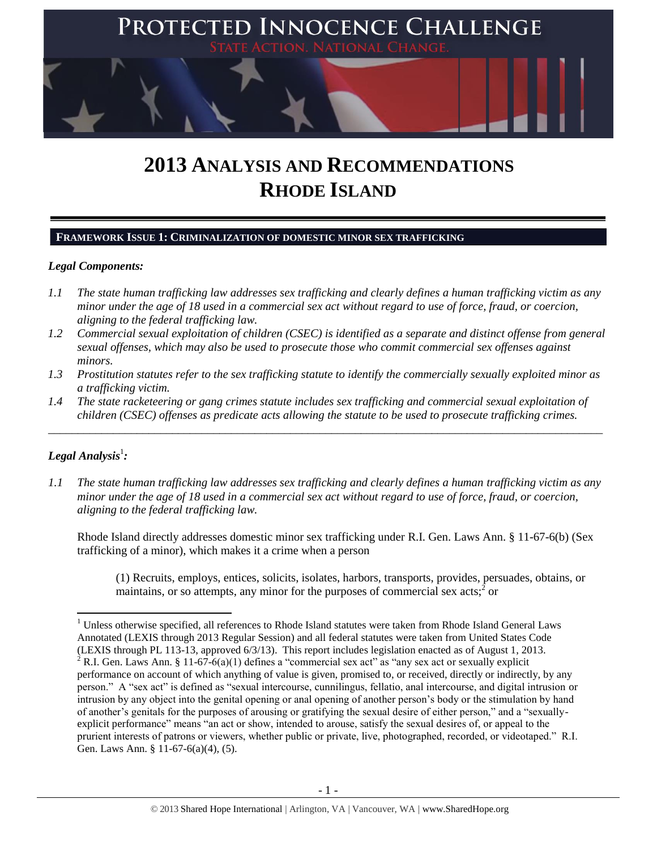

# **2013 ANALYSIS AND RECOMMENDATIONS RHODE ISLAND**

#### **FRAMEWORK ISSUE 1: CRIMINALIZATION OF DOMESTIC MINOR SEX TRAFFICKING**

#### *Legal Components:*

- *1.1 The state human trafficking law addresses sex trafficking and clearly defines a human trafficking victim as any minor under the age of 18 used in a commercial sex act without regard to use of force, fraud, or coercion, aligning to the federal trafficking law.*
- *1.2 Commercial sexual exploitation of children (CSEC) is identified as a separate and distinct offense from general sexual offenses, which may also be used to prosecute those who commit commercial sex offenses against minors.*
- *1.3 Prostitution statutes refer to the sex trafficking statute to identify the commercially sexually exploited minor as a trafficking victim.*
- *1.4 The state racketeering or gang crimes statute includes sex trafficking and commercial sexual exploitation of children (CSEC) offenses as predicate acts allowing the statute to be used to prosecute trafficking crimes.*

\_\_\_\_\_\_\_\_\_\_\_\_\_\_\_\_\_\_\_\_\_\_\_\_\_\_\_\_\_\_\_\_\_\_\_\_\_\_\_\_\_\_\_\_\_\_\_\_\_\_\_\_\_\_\_\_\_\_\_\_\_\_\_\_\_\_\_\_\_\_\_\_\_\_\_\_\_\_\_\_\_\_\_\_\_\_\_\_\_\_\_\_\_\_

# $\bm{\mathit{Legal\, Analysis^1}}$ :

*1.1 The state human trafficking law addresses sex trafficking and clearly defines a human trafficking victim as any minor under the age of 18 used in a commercial sex act without regard to use of force, fraud, or coercion, aligning to the federal trafficking law.*

Rhode Island directly addresses domestic minor sex trafficking under R.I. Gen. Laws Ann. § 11-67-6(b) (Sex trafficking of a minor), which makes it a crime when a person

(1) Recruits, employs, entices, solicits, isolates, harbors, transports, provides, persuades, obtains, or maintains, or so attempts, any minor for the purposes of commercial sex acts;  $\delta$  or

 $\overline{a}$ <sup>1</sup> Unless otherwise specified, all references to Rhode Island statutes were taken from Rhode Island General Laws Annotated (LEXIS through 2013 Regular Session) and all federal statutes were taken from United States Code (LEXIS through PL 113-13, approved 6/3/13). This report includes legislation enacted as of August 1, 2013.

 $2$  R.I. Gen. Laws Ann. § 11-67-6(a)(1) defines a "commercial sex act" as "any sex act or sexually explicit performance on account of which anything of value is given, promised to, or received, directly or indirectly, by any person." A "sex act" is defined as "sexual intercourse, cunnilingus, fellatio, anal intercourse, and digital intrusion or intrusion by any object into the genital opening or anal opening of another person's body or the stimulation by hand of another's genitals for the purposes of arousing or gratifying the sexual desire of either person," and a "sexuallyexplicit performance" means "an act or show, intended to arouse, satisfy the sexual desires of, or appeal to the prurient interests of patrons or viewers, whether public or private, live, photographed, recorded, or videotaped." R.I. Gen. Laws Ann. § 11-67-6(a)(4), (5).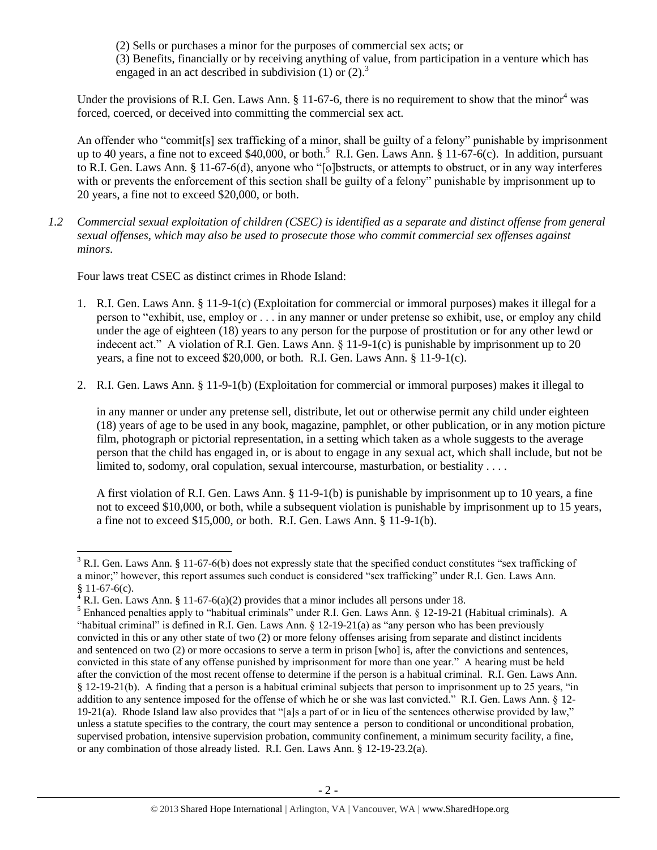(2) Sells or purchases a minor for the purposes of commercial sex acts; or (3) Benefits, financially or by receiving anything of value, from participation in a venture which has engaged in an act described in subdivision  $(1)$  or  $(2)$ .<sup>3</sup>

Under the provisions of R.I. Gen. Laws Ann.  $\S 11-67-6$ , there is no requirement to show that the minor<sup>4</sup> was forced, coerced, or deceived into committing the commercial sex act.

An offender who "commit[s] sex trafficking of a minor, shall be guilty of a felony" punishable by imprisonment up to 40 years, a fine not to exceed \$40,000, or both.<sup>5</sup> R.I. Gen. Laws Ann. § 11-67-6(c). In addition, pursuant to R.I. Gen. Laws Ann. § 11-67-6(d), anyone who "[o]bstructs, or attempts to obstruct, or in any way interferes with or prevents the enforcement of this section shall be guilty of a felony" punishable by imprisonment up to 20 years, a fine not to exceed \$20,000, or both.

*1.2 Commercial sexual exploitation of children (CSEC) is identified as a separate and distinct offense from general sexual offenses, which may also be used to prosecute those who commit commercial sex offenses against minors.*

Four laws treat CSEC as distinct crimes in Rhode Island:

- 1. R.I. Gen. Laws Ann. § 11-9-1(c) (Exploitation for commercial or immoral purposes) makes it illegal for a person to "exhibit, use, employ or . . . in any manner or under pretense so exhibit, use, or employ any child under the age of eighteen (18) years to any person for the purpose of prostitution or for any other lewd or indecent act." A violation of R.I. Gen. Laws Ann. § 11-9-1(c) is punishable by imprisonment up to 20 years, a fine not to exceed \$20,000, or both. R.I. Gen. Laws Ann. § 11-9-1(c).
- 2. R.I. Gen. Laws Ann. § 11-9-1(b) (Exploitation for commercial or immoral purposes) makes it illegal to

in any manner or under any pretense sell, distribute, let out or otherwise permit any child under eighteen (18) years of age to be used in any book, magazine, pamphlet, or other publication, or in any motion picture film, photograph or pictorial representation, in a setting which taken as a whole suggests to the average person that the child has engaged in, or is about to engage in any sexual act, which shall include, but not be limited to, sodomy, oral copulation, sexual intercourse, masturbation, or bestiality . . . .

A first violation of R.I. Gen. Laws Ann. § 11-9-1(b) is punishable by imprisonment up to 10 years, a fine not to exceed \$10,000, or both, while a subsequent violation is punishable by imprisonment up to 15 years, a fine not to exceed \$15,000, or both. R.I. Gen. Laws Ann. § 11-9-1(b).

 $\overline{\phantom{a}}$  $3$  R.I. Gen. Laws Ann. § 11-67-6(b) does not expressly state that the specified conduct constitutes "sex trafficking of a minor;" however, this report assumes such conduct is considered "sex trafficking" under R.I. Gen. Laws Ann.  $§ 11-67-6(c).$ 

 $4 R.I.$  Gen. Laws Ann. § 11-67-6(a)(2) provides that a minor includes all persons under 18.

<sup>5</sup> Enhanced penalties apply to "habitual criminals" under R.I. Gen. Laws Ann. § 12-19-21 (Habitual criminals). A "habitual criminal" is defined in R.I. Gen. Laws Ann. § 12-19-21(a) as "any person who has been previously convicted in this or any other state of two (2) or more felony offenses arising from separate and distinct incidents and sentenced on two (2) or more occasions to serve a term in prison [who] is, after the convictions and sentences, convicted in this state of any offense punished by imprisonment for more than one year." A hearing must be held after the conviction of the most recent offense to determine if the person is a habitual criminal. R.I. Gen. Laws Ann. § 12-19-21(b). A finding that a person is a habitual criminal subjects that person to imprisonment up to 25 years, "in addition to any sentence imposed for the offense of which he or she was last convicted." R.I. Gen. Laws Ann. § 12-  $19-21(a)$ . Rhode Island law also provides that "[a]s a part of or in lieu of the sentences otherwise provided by law," unless a statute specifies to the contrary, the court may sentence a person to conditional or unconditional probation, supervised probation, intensive supervision probation, community confinement, a minimum security facility, a fine, or any combination of those already listed. R.I. Gen. Laws Ann. § 12-19-23.2(a).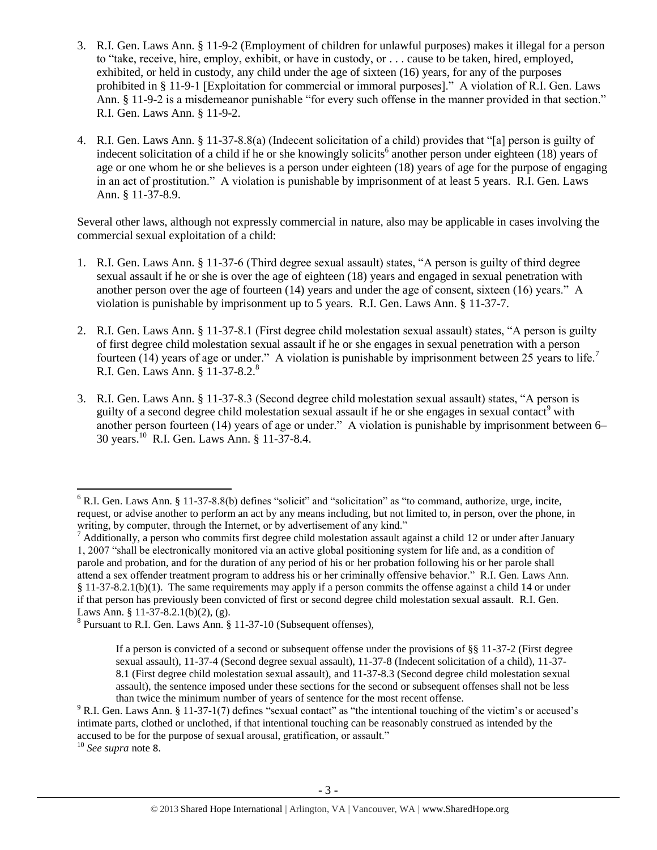- 3. R.I. Gen. Laws Ann. § 11-9-2 (Employment of children for unlawful purposes) makes it illegal for a person to "take, receive, hire, employ, exhibit, or have in custody, or . . . cause to be taken, hired, employed, exhibited, or held in custody, any child under the age of sixteen (16) years, for any of the purposes prohibited in § 11-9-1 [Exploitation for commercial or immoral purposes]." A violation of R.I. Gen. Laws Ann. § 11-9-2 is a misdemeanor punishable "for every such offense in the manner provided in that section." R.I. Gen. Laws Ann. § 11-9-2.
- <span id="page-2-1"></span>4. R.I. Gen. Laws Ann. § 11-37-8.8(a) (Indecent solicitation of a child) provides that "[a] person is guilty of indecent solicitation of a child if he or she knowingly solicits<sup>6</sup> another person under eighteen (18) years of age or one whom he or she believes is a person under eighteen (18) years of age for the purpose of engaging in an act of prostitution." A violation is punishable by imprisonment of at least 5 years. R.I. Gen. Laws Ann. § 11-37-8.9.

Several other laws, although not expressly commercial in nature, also may be applicable in cases involving the commercial sexual exploitation of a child:

- 1. R.I. Gen. Laws Ann. § 11-37-6 (Third degree sexual assault) states, "A person is guilty of third degree sexual assault if he or she is over the age of eighteen (18) years and engaged in sexual penetration with another person over the age of fourteen (14) years and under the age of consent, sixteen (16) years." A violation is punishable by imprisonment up to 5 years. R.I. Gen. Laws Ann. § 11-37-7.
- 2. R.I. Gen. Laws Ann. § 11-37-8.1 (First degree child molestation sexual assault) states, "A person is guilty of first degree child molestation sexual assault if he or she engages in sexual penetration with a person fourteen (14) years of age or under." A violation is punishable by imprisonment between 25 years to life.<sup>7</sup> R.I. Gen. Laws Ann. § 11-37-8.2.<sup>8</sup>
- <span id="page-2-0"></span>3. R.I. Gen. Laws Ann. § 11-37-8.3 (Second degree child molestation sexual assault) states, "A person is guilty of a second degree child molestation sexual assault if he or she engages in sexual contact<sup>9</sup> with another person fourteen (14) years of age or under." A violation is punishable by imprisonment between 6– 30 years.<sup>10</sup> R.I. Gen. Laws Ann. § 11-37-8.4.

 $\overline{\phantom{a}}$ 

 $6$  R.I. Gen. Laws Ann. § 11-37-8.8(b) defines "solicit" and "solicitation" as "to command, authorize, urge, incite, request, or advise another to perform an act by any means including, but not limited to, in person, over the phone, in writing, by computer, through the Internet, or by advertisement of any kind."

 $<sup>7</sup>$  Additionally, a person who commits first degree child molestation assault against a child 12 or under after January</sup> 1, 2007 "shall be electronically monitored via an active global positioning system for life and, as a condition of parole and probation, and for the duration of any period of his or her probation following his or her parole shall attend a sex offender treatment program to address his or her criminally offensive behavior." R.I. Gen. Laws Ann. § 11-37-8.2.1(b)(1). The same requirements may apply if a person commits the offense against a child 14 or under if that person has previously been convicted of first or second degree child molestation sexual assault. R.I. Gen. Laws Ann. § 11-37-8.2.1(b)(2), (g).

<sup>&</sup>lt;sup>8</sup> Pursuant to R.I. Gen. Laws Ann. § 11-37-10 (Subsequent offenses),

If a person is convicted of a second or subsequent offense under the provisions of §§ 11-37-2 (First degree sexual assault), 11-37-4 (Second degree sexual assault), 11-37-8 (Indecent solicitation of a child), 11-37- 8.1 (First degree child molestation sexual assault), and 11-37-8.3 (Second degree child molestation sexual assault), the sentence imposed under these sections for the second or subsequent offenses shall not be less than twice the minimum number of years of sentence for the most recent offense.

 $9$  R.I. Gen. Laws Ann. § 11-37-1(7) defines "sexual contact" as "the intentional touching of the victim's or accused's intimate parts, clothed or unclothed, if that intentional touching can be reasonably construed as intended by the accused to be for the purpose of sexual arousal, gratification, or assault."

<sup>10</sup> *See supra* note [8](#page-2-0).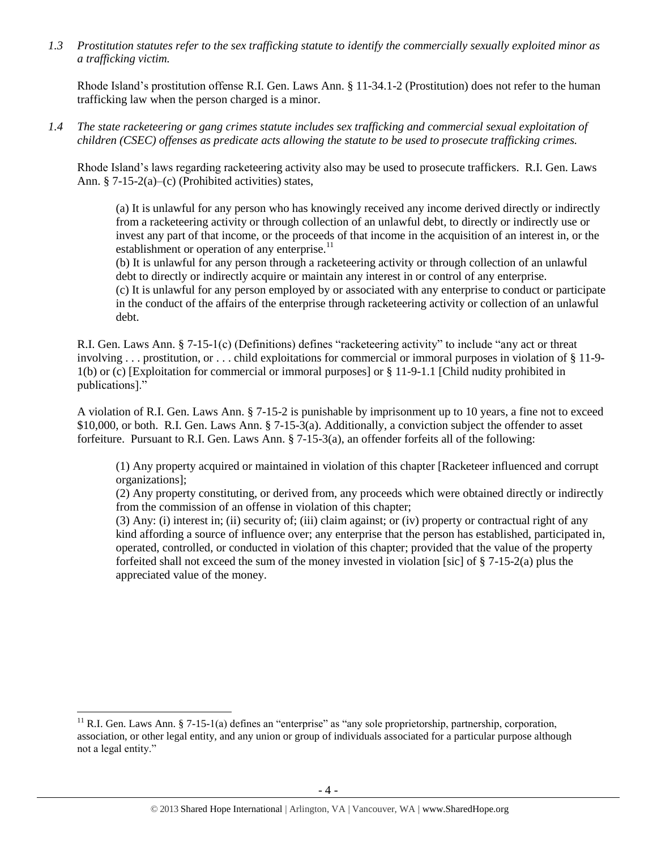*1.3 Prostitution statutes refer to the sex trafficking statute to identify the commercially sexually exploited minor as a trafficking victim.* 

Rhode Island's prostitution offense R.I. Gen. Laws Ann. § 11-34.1-2 (Prostitution) does not refer to the human trafficking law when the person charged is a minor.

*1.4 The state racketeering or gang crimes statute includes sex trafficking and commercial sexual exploitation of children (CSEC) offenses as predicate acts allowing the statute to be used to prosecute trafficking crimes.* 

Rhode Island's laws regarding racketeering activity also may be used to prosecute traffickers. R.I. Gen. Laws Ann. § 7-15-2(a)–(c) (Prohibited activities) states,

(a) It is unlawful for any person who has knowingly received any income derived directly or indirectly from a racketeering activity or through collection of an unlawful debt, to directly or indirectly use or invest any part of that income, or the proceeds of that income in the acquisition of an interest in, or the establishment or operation of any enterprise.<sup>11</sup>

(b) It is unlawful for any person through a racketeering activity or through collection of an unlawful debt to directly or indirectly acquire or maintain any interest in or control of any enterprise.

(c) It is unlawful for any person employed by or associated with any enterprise to conduct or participate in the conduct of the affairs of the enterprise through racketeering activity or collection of an unlawful debt.

R.I. Gen. Laws Ann. § 7-15-1(c) (Definitions) defines "racketeering activity" to include "any act or threat involving . . . prostitution, or . . . child exploitations for commercial or immoral purposes in violation of § 11-9- 1(b) or (c) [Exploitation for commercial or immoral purposes] or § 11-9-1.1 [Child nudity prohibited in publications]."

A violation of R.I. Gen. Laws Ann. § 7-15-2 is punishable by imprisonment up to 10 years, a fine not to exceed \$10,000, or both. R.I. Gen. Laws Ann. § 7-15-3(a). Additionally, a conviction subject the offender to asset forfeiture. Pursuant to R.I. Gen. Laws Ann. § 7-15-3(a), an offender forfeits all of the following:

(1) Any property acquired or maintained in violation of this chapter [Racketeer influenced and corrupt organizations];

(2) Any property constituting, or derived from, any proceeds which were obtained directly or indirectly from the commission of an offense in violation of this chapter;

(3) Any: (i) interest in; (ii) security of; (iii) claim against; or (iv) property or contractual right of any kind affording a source of influence over; any enterprise that the person has established, participated in, operated, controlled, or conducted in violation of this chapter; provided that the value of the property forfeited shall not exceed the sum of the money invested in violation [sic] of  $\S 7-15-2(a)$  plus the appreciated value of the money.

 $\overline{\phantom{a}}$ <sup>11</sup> R.I. Gen. Laws Ann. § 7-15-1(a) defines an "enterprise" as "any sole proprietorship, partnership, corporation, association, or other legal entity, and any union or group of individuals associated for a particular purpose although not a legal entity."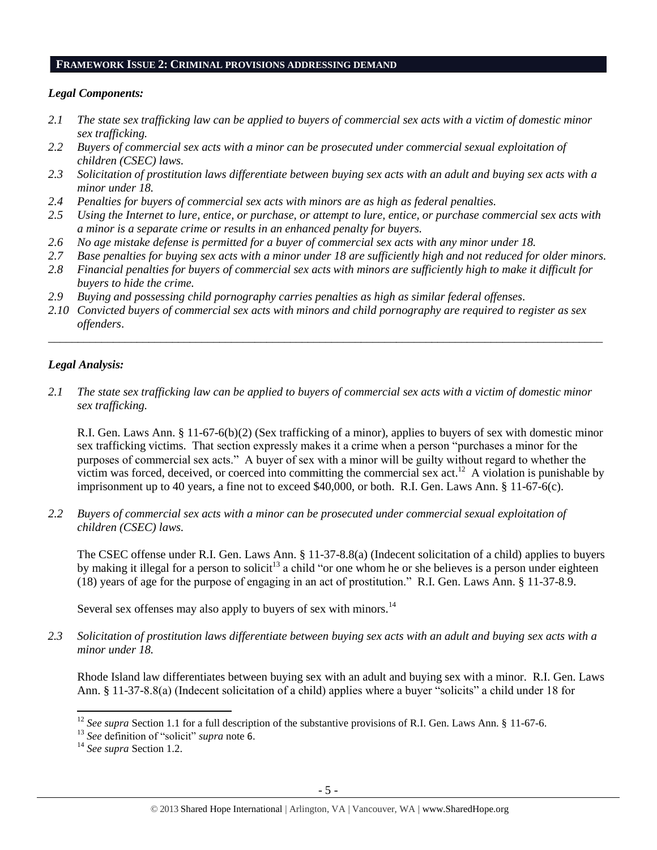#### **FRAMEWORK ISSUE 2: CRIMINAL PROVISIONS ADDRESSING DEMAND**

## *Legal Components:*

- *2.1 The state sex trafficking law can be applied to buyers of commercial sex acts with a victim of domestic minor sex trafficking.*
- *2.2 Buyers of commercial sex acts with a minor can be prosecuted under commercial sexual exploitation of children (CSEC) laws.*
- *2.3 Solicitation of prostitution laws differentiate between buying sex acts with an adult and buying sex acts with a minor under 18.*
- *2.4 Penalties for buyers of commercial sex acts with minors are as high as federal penalties.*
- *2.5 Using the Internet to lure, entice, or purchase, or attempt to lure, entice, or purchase commercial sex acts with a minor is a separate crime or results in an enhanced penalty for buyers.*
- *2.6 No age mistake defense is permitted for a buyer of commercial sex acts with any minor under 18.*
- *2.7 Base penalties for buying sex acts with a minor under 18 are sufficiently high and not reduced for older minors.*
- *2.8 Financial penalties for buyers of commercial sex acts with minors are sufficiently high to make it difficult for buyers to hide the crime.*
- *2.9 Buying and possessing child pornography carries penalties as high as similar federal offenses.*
- *2.10 Convicted buyers of commercial sex acts with minors and child pornography are required to register as sex offenders*.

\_\_\_\_\_\_\_\_\_\_\_\_\_\_\_\_\_\_\_\_\_\_\_\_\_\_\_\_\_\_\_\_\_\_\_\_\_\_\_\_\_\_\_\_\_\_\_\_\_\_\_\_\_\_\_\_\_\_\_\_\_\_\_\_\_\_\_\_\_\_\_\_\_\_\_\_\_\_\_\_\_\_\_\_\_\_\_\_\_\_\_\_\_\_

## *Legal Analysis:*

*2.1 The state sex trafficking law can be applied to buyers of commercial sex acts with a victim of domestic minor sex trafficking.*

R.I. Gen. Laws Ann. § 11-67-6(b)(2) (Sex trafficking of a minor), applies to buyers of sex with domestic minor sex trafficking victims. That section expressly makes it a crime when a person "purchases a minor for the purposes of commercial sex acts." A buyer of sex with a minor will be guilty without regard to whether the victim was forced, deceived, or coerced into committing the commercial sex  $act.^{12}$ . A violation is punishable by imprisonment up to 40 years, a fine not to exceed \$40,000, or both. R.I. Gen. Laws Ann. § 11-67-6(c).

*2.2 Buyers of commercial sex acts with a minor can be prosecuted under commercial sexual exploitation of children (CSEC) laws.*

The CSEC offense under R.I. Gen. Laws Ann. § 11-37-8.8(a) (Indecent solicitation of a child) applies to buyers by making it illegal for a person to solicit<sup>13</sup> a child "or one whom he or she believes is a person under eighteen (18) years of age for the purpose of engaging in an act of prostitution." R.I. Gen. Laws Ann. § 11-37-8.9.

Several sex offenses may also apply to buyers of sex with minors.<sup>14</sup>

*2.3 Solicitation of prostitution laws differentiate between buying sex acts with an adult and buying sex acts with a minor under 18.*

Rhode Island law differentiates between buying sex with an adult and buying sex with a minor. R.I. Gen. Laws Ann. § 11-37-8.8(a) (Indecent solicitation of a child) applies where a buyer "solicits" a child under 18 for

 $\overline{\phantom{a}}$ 

<sup>&</sup>lt;sup>12</sup> *See supra* Section 1.1 for a full description of the substantive provisions of R.I. Gen. Laws Ann. § 11-67-6.

<sup>13</sup> *See* definition of "solicit" *supra* note [6](#page-2-1).

<sup>14</sup> *See supra* Section 1.2.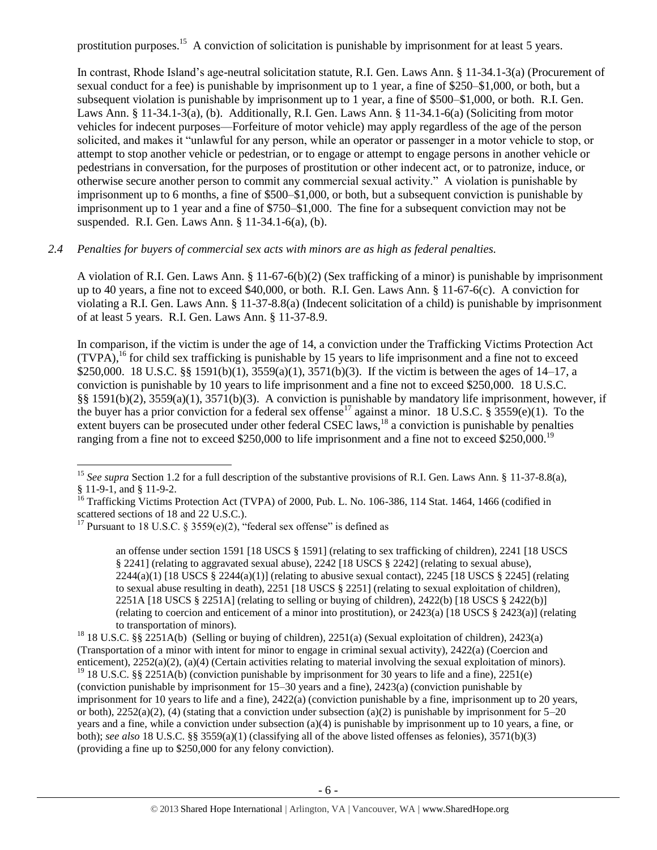prostitution purposes.<sup>15</sup> A conviction of solicitation is punishable by imprisonment for at least 5 years.

In contrast, Rhode Island's age-neutral solicitation statute, R.I. Gen. Laws Ann. § 11-34.1-3(a) (Procurement of sexual conduct for a fee) is punishable by imprisonment up to 1 year, a fine of \$250–\$1,000, or both, but a subsequent violation is punishable by imprisonment up to 1 year, a fine of \$500–\$1,000, or both. R.I. Gen. Laws Ann. § 11-34.1-3(a), (b). Additionally, R.I. Gen. Laws Ann. § 11-34.1-6(a) (Soliciting from motor vehicles for indecent purposes—Forfeiture of motor vehicle) may apply regardless of the age of the person solicited, and makes it "unlawful for any person, while an operator or passenger in a motor vehicle to stop, or attempt to stop another vehicle or pedestrian, or to engage or attempt to engage persons in another vehicle or pedestrians in conversation, for the purposes of prostitution or other indecent act, or to patronize, induce, or otherwise secure another person to commit any commercial sexual activity." A violation is punishable by imprisonment up to 6 months, a fine of \$500–\$1,000, or both, but a subsequent conviction is punishable by imprisonment up to 1 year and a fine of \$750–\$1,000. The fine for a subsequent conviction may not be suspended. R.I. Gen. Laws Ann. § 11-34.1-6(a), (b).

## *2.4 Penalties for buyers of commercial sex acts with minors are as high as federal penalties.*

A violation of R.I. Gen. Laws Ann. § 11-67-6(b)(2) (Sex trafficking of a minor) is punishable by imprisonment up to 40 years, a fine not to exceed \$40,000, or both. R.I. Gen. Laws Ann. § 11-67-6(c). A conviction for violating a R.I. Gen. Laws Ann. § 11-37-8.8(a) (Indecent solicitation of a child) is punishable by imprisonment of at least 5 years. R.I. Gen. Laws Ann. § 11-37-8.9.

<span id="page-5-0"></span>In comparison, if the victim is under the age of 14, a conviction under the Trafficking Victims Protection Act  $(TVPA)$ ,<sup>16</sup> for child sex trafficking is punishable by 15 years to life imprisonment and a fine not to exceed \$250,000. 18 U.S.C. §§ 1591(b)(1), 3559(a)(1), 3571(b)(3). If the victim is between the ages of 14–17, a conviction is punishable by 10 years to life imprisonment and a fine not to exceed \$250,000. 18 U.S.C. §§ 1591(b)(2), 3559(a)(1), 3571(b)(3). A conviction is punishable by mandatory life imprisonment, however, if the buyer has a prior conviction for a federal sex offense<sup>17</sup> against a minor. 18 U.S.C. § 3559(e)(1). To the extent buyers can be prosecuted under other federal CSEC laws,<sup>18</sup> a conviction is punishable by penalties ranging from a fine not to exceed \$250,000 to life imprisonment and a fine not to exceed \$250,000.<sup>19</sup>

 $\overline{a}$ 

<span id="page-5-1"></span>an offense under section 1591 [18 USCS § 1591] (relating to sex trafficking of children), 2241 [18 USCS § 2241] (relating to aggravated sexual abuse), 2242 [18 USCS § 2242] (relating to sexual abuse),  $2244(a)(1)$  [18 USCS §  $2244(a)(1)$ ] (relating to abusive sexual contact),  $2245$  [18 USCS § 2245] (relating to sexual abuse resulting in death), 2251 [18 USCS § 2251] (relating to sexual exploitation of children), 2251A [18 USCS § 2251A] (relating to selling or buying of children), 2422(b) [18 USCS § 2422(b)] (relating to coercion and enticement of a minor into prostitution), or 2423(a) [18 USCS § 2423(a)] (relating to transportation of minors).

<sup>18</sup> 18 U.S.C. §§ 2251A(b) (Selling or buying of children), 2251(a) (Sexual exploitation of children), 2423(a) (Transportation of a minor with intent for minor to engage in criminal sexual activity), 2422(a) (Coercion and enticement), 2252(a)(2), (a)(4) (Certain activities relating to material involving the sexual exploitation of minors). <sup>19</sup> 18 U.S.C. §§ 2251A(b) (conviction punishable by imprisonment for 30 years to life and a fine), 2251(e)

(conviction punishable by imprisonment for 15–30 years and a fine), 2423(a) (conviction punishable by imprisonment for 10 years to life and a fine), 2422(a) (conviction punishable by a fine, imprisonment up to 20 years, or both),  $2252(a)(2)$ , (4) (stating that a conviction under subsection (a)(2) is punishable by imprisonment for  $5-20$ years and a fine, while a conviction under subsection (a)(4) is punishable by imprisonment up to 10 years, a fine, or both); *see also* 18 U.S.C. §§ 3559(a)(1) (classifying all of the above listed offenses as felonies), 3571(b)(3) (providing a fine up to \$250,000 for any felony conviction).

<sup>&</sup>lt;sup>15</sup> See supra Section 1.2 for a full description of the substantive provisions of R.I. Gen. Laws Ann. § 11-37-8.8(a), § 11-9-1, and § 11-9-2.

<sup>&</sup>lt;sup>16</sup> Trafficking Victims Protection Act (TVPA) of 2000, Pub. L. No. 106-386, 114 Stat. 1464, 1466 (codified in scattered sections of 18 and 22 U.S.C.).

<sup>&</sup>lt;sup>17</sup> Pursuant to 18 U.S.C. § 3559(e)(2), "federal sex offense" is defined as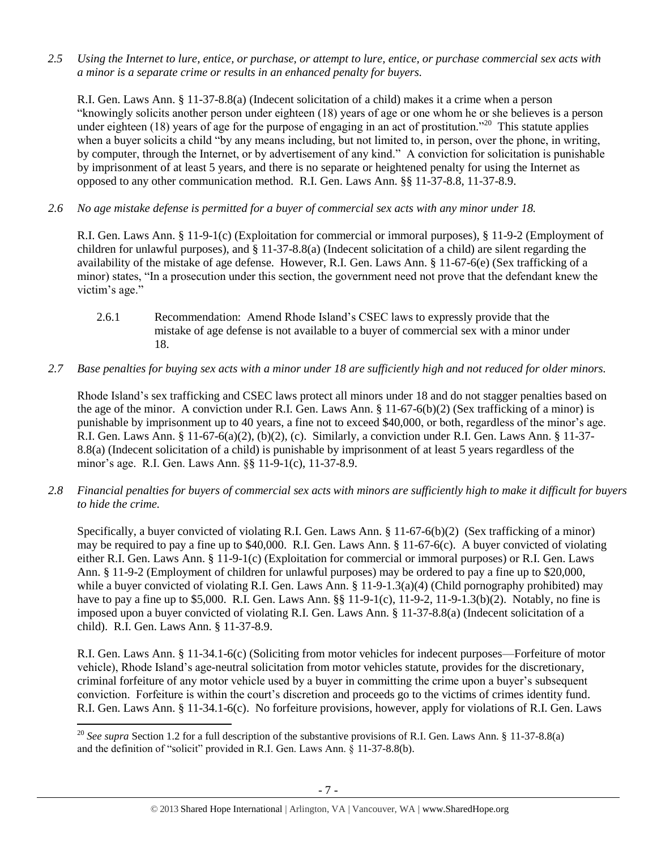*2.5 Using the Internet to lure, entice, or purchase, or attempt to lure, entice, or purchase commercial sex acts with a minor is a separate crime or results in an enhanced penalty for buyers.*

R.I. Gen. Laws Ann. § 11-37-8.8(a) (Indecent solicitation of a child) makes it a crime when a person "knowingly solicits another person under eighteen (18) years of age or one whom he or she believes is a person under eighteen (18) years of age for the purpose of engaging in an act of prostitution."<sup>20</sup> This statute applies when a buyer solicits a child "by any means including, but not limited to, in person, over the phone, in writing, by computer, through the Internet, or by advertisement of any kind." A conviction for solicitation is punishable by imprisonment of at least 5 years, and there is no separate or heightened penalty for using the Internet as opposed to any other communication method. R.I. Gen. Laws Ann. §§ 11-37-8.8, 11-37-8.9.

*2.6 No age mistake defense is permitted for a buyer of commercial sex acts with any minor under 18.*

R.I. Gen. Laws Ann. § 11-9-1(c) (Exploitation for commercial or immoral purposes), § 11-9-2 (Employment of children for unlawful purposes), and § 11-37-8.8(a) (Indecent solicitation of a child) are silent regarding the availability of the mistake of age defense. However, R.I. Gen. Laws Ann. § 11-67-6(e) (Sex trafficking of a minor) states, "In a prosecution under this section, the government need not prove that the defendant knew the victim's age."

- 2.6.1 Recommendation: Amend Rhode Island's CSEC laws to expressly provide that the mistake of age defense is not available to a buyer of commercial sex with a minor under 18.
- *2.7 Base penalties for buying sex acts with a minor under 18 are sufficiently high and not reduced for older minors.*

Rhode Island's sex trafficking and CSEC laws protect all minors under 18 and do not stagger penalties based on the age of the minor. A conviction under R.I. Gen. Laws Ann. § 11-67-6(b)(2) (Sex trafficking of a minor) is punishable by imprisonment up to 40 years, a fine not to exceed \$40,000, or both, regardless of the minor's age. R.I. Gen. Laws Ann. § 11-67-6(a)(2), (b)(2), (c). Similarly, a conviction under R.I. Gen. Laws Ann. § 11-37- 8.8(a) (Indecent solicitation of a child) is punishable by imprisonment of at least 5 years regardless of the minor's age. R.I. Gen. Laws Ann. §§ 11-9-1(c), 11-37-8.9.

*2.8 Financial penalties for buyers of commercial sex acts with minors are sufficiently high to make it difficult for buyers to hide the crime.*

Specifically, a buyer convicted of violating R.I. Gen. Laws Ann. § 11-67-6(b)(2) (Sex trafficking of a minor) may be required to pay a fine up to \$40,000. R.I. Gen. Laws Ann. § 11-67-6(c). A buyer convicted of violating either R.I. Gen. Laws Ann. § 11-9-1(c) (Exploitation for commercial or immoral purposes) or R.I. Gen. Laws Ann. § 11-9-2 (Employment of children for unlawful purposes) may be ordered to pay a fine up to \$20,000, while a buyer convicted of violating R.I. Gen. Laws Ann. § 11-9-1.3(a)(4) (Child pornography prohibited) may have to pay a fine up to \$5,000. R.I. Gen. Laws Ann. §§ 11-9-1(c), 11-9-2, 11-9-1.3(b)(2). Notably, no fine is imposed upon a buyer convicted of violating R.I. Gen. Laws Ann. § 11-37-8.8(a) (Indecent solicitation of a child). R.I. Gen. Laws Ann. § 11-37-8.9.

R.I. Gen. Laws Ann. § 11-34.1-6(c) (Soliciting from motor vehicles for indecent purposes—Forfeiture of motor vehicle), Rhode Island's age-neutral solicitation from motor vehicles statute, provides for the discretionary, criminal forfeiture of any motor vehicle used by a buyer in committing the crime upon a buyer's subsequent conviction. Forfeiture is within the court's discretion and proceeds go to the victims of crimes identity fund. R.I. Gen. Laws Ann. § 11-34.1-6(c). No forfeiture provisions, however, apply for violations of R.I. Gen. Laws

l <sup>20</sup> *See supra* Section 1.2 for a full description of the substantive provisions of R.I. Gen. Laws Ann. § 11-37-8.8(a) and the definition of "solicit" provided in R.I. Gen. Laws Ann. § 11-37-8.8(b).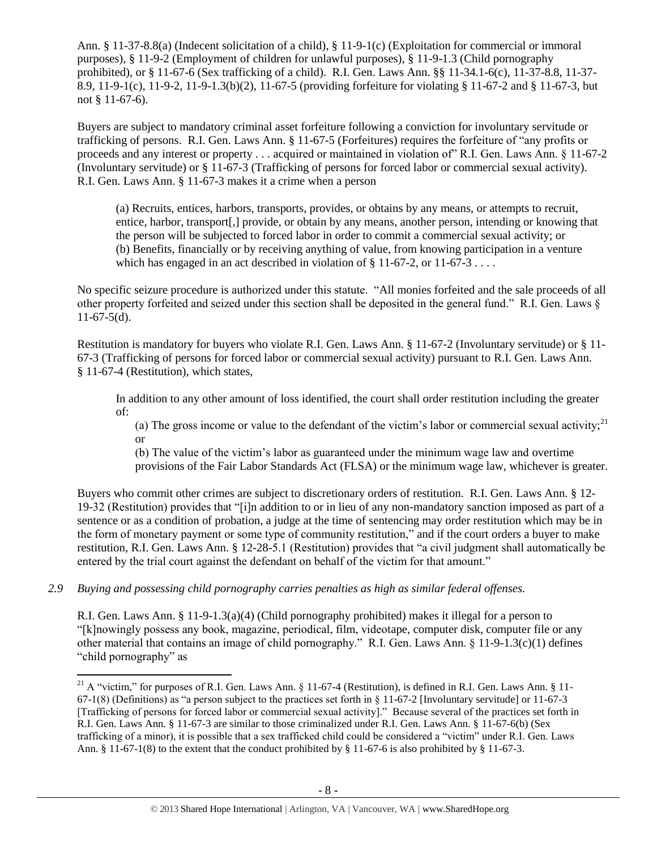Ann. § 11-37-8.8(a) (Indecent solicitation of a child), § 11-9-1(c) (Exploitation for commercial or immoral purposes), § 11-9-2 (Employment of children for unlawful purposes), § 11-9-1.3 (Child pornography prohibited), or § 11-67-6 (Sex trafficking of a child). R.I. Gen. Laws Ann. §§ 11-34.1-6(c), 11-37-8.8, 11-37- 8.9, 11-9-1(c), 11-9-2, 11-9-1.3(b)(2), 11-67-5 (providing forfeiture for violating § 11-67-2 and § 11-67-3, but not § 11-67-6).

Buyers are subject to mandatory criminal asset forfeiture following a conviction for involuntary servitude or trafficking of persons. R.I. Gen. Laws Ann. § 11-67-5 (Forfeitures) requires the forfeiture of "any profits or proceeds and any interest or property . . . acquired or maintained in violation of" R.I. Gen. Laws Ann. § 11-67-2 (Involuntary servitude) or § 11-67-3 (Trafficking of persons for forced labor or commercial sexual activity). R.I. Gen. Laws Ann. § 11-67-3 makes it a crime when a person

(a) Recruits, entices, harbors, transports, provides, or obtains by any means, or attempts to recruit, entice, harbor, transport[,] provide, or obtain by any means, another person, intending or knowing that the person will be subjected to forced labor in order to commit a commercial sexual activity; or (b) Benefits, financially or by receiving anything of value, from knowing participation in a venture which has engaged in an act described in violation of  $\S 11-67-2$ , or  $11-67-3$ ...

No specific seizure procedure is authorized under this statute. "All monies forfeited and the sale proceeds of all other property forfeited and seized under this section shall be deposited in the general fund." R.I. Gen. Laws §  $11-67-5(d)$ .

Restitution is mandatory for buyers who violate R.I. Gen. Laws Ann. § 11-67-2 (Involuntary servitude) or § 11- 67-3 (Trafficking of persons for forced labor or commercial sexual activity) pursuant to R.I. Gen. Laws Ann. § 11-67-4 (Restitution), which states,

In addition to any other amount of loss identified, the court shall order restitution including the greater of:

(a) The gross income or value to the defendant of the victim's labor or commercial sexual activity;<sup>21</sup> or

<span id="page-7-0"></span>(b) The value of the victim's labor as guaranteed under the minimum wage law and overtime provisions of the Fair Labor Standards Act (FLSA) or the minimum wage law, whichever is greater.

Buyers who commit other crimes are subject to discretionary orders of restitution. R.I. Gen. Laws Ann. § 12- 19-32 (Restitution) provides that "[i]n addition to or in lieu of any non-mandatory sanction imposed as part of a sentence or as a condition of probation, a judge at the time of sentencing may order restitution which may be in the form of monetary payment or some type of community restitution," and if the court orders a buyer to make restitution, R.I. Gen. Laws Ann. § 12-28-5.1 (Restitution) provides that "a civil judgment shall automatically be entered by the trial court against the defendant on behalf of the victim for that amount."

*2.9 Buying and possessing child pornography carries penalties as high as similar federal offenses.*

 $\overline{\phantom{a}}$ 

R.I. Gen. Laws Ann. § 11-9-1.3(a)(4) (Child pornography prohibited) makes it illegal for a person to "[k]nowingly possess any book, magazine, periodical, film, videotape, computer disk, computer file or any other material that contains an image of child pornography." R.I. Gen. Laws Ann. § 11-9-1.3(c)(1) defines "child pornography" as

<sup>&</sup>lt;sup>21</sup> A "victim," for purposes of R.I. Gen. Laws Ann. § 11-67-4 (Restitution), is defined in R.I. Gen. Laws Ann. § 11-67-1(8) (Definitions) as "a person subject to the practices set forth in § 11-67-2 [Involuntary servitude] or 11-67-3 [Trafficking of persons for forced labor or commercial sexual activity]." Because several of the practices set forth in R.I. Gen. Laws Ann. § 11-67-3 are similar to those criminalized under R.I. Gen. Laws Ann. § 11-67-6(b) (Sex trafficking of a minor), it is possible that a sex trafficked child could be considered a "victim" under R.I. Gen. Laws Ann. § 11-67-1(8) to the extent that the conduct prohibited by § 11-67-6 is also prohibited by § 11-67-3.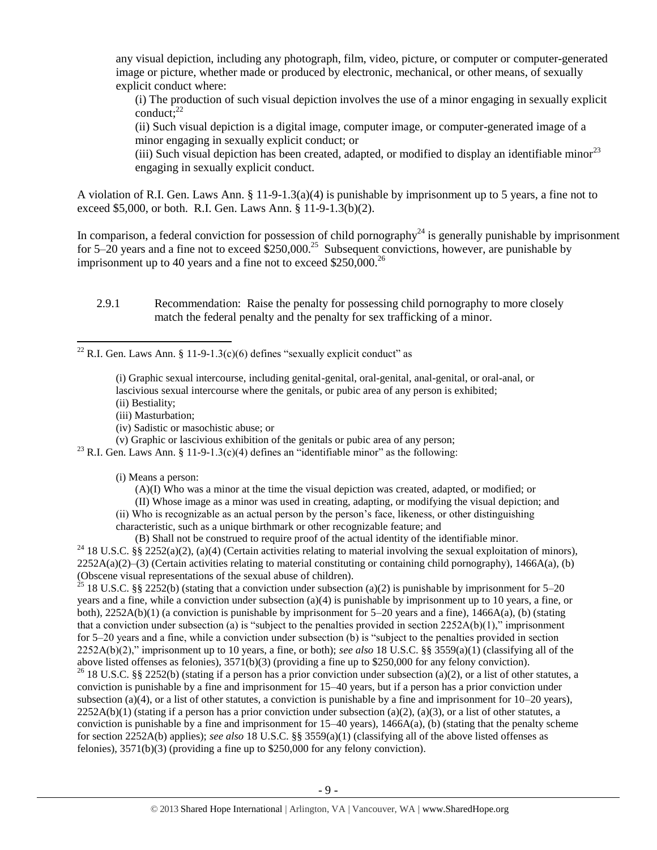any visual depiction, including any photograph, film, video, picture, or computer or computer-generated image or picture, whether made or produced by electronic, mechanical, or other means, of sexually explicit conduct where:

(i) The production of such visual depiction involves the use of a minor engaging in sexually explicit conduct; $^{22}$ 

(ii) Such visual depiction is a digital image, computer image, or computer-generated image of a minor engaging in sexually explicit conduct; or

(iii) Such visual depiction has been created, adapted, or modified to display an identifiable minor<sup>23</sup> engaging in sexually explicit conduct.

A violation of R.I. Gen. Laws Ann. § 11-9-1.3(a)(4) is punishable by imprisonment up to 5 years, a fine not to exceed \$5,000, or both. R.I. Gen. Laws Ann. § 11-9-1.3(b)(2).

In comparison, a federal conviction for possession of child pornography<sup>24</sup> is generally punishable by imprisonment for 5–20 years and a fine not to exceed  $$250,000.<sup>25</sup>$  Subsequent convictions, however, are punishable by imprisonment up to 40 years and a fine not to exceed  $$250,000.<sup>26</sup>$ 

2.9.1 Recommendation: Raise the penalty for possessing child pornography to more closely match the federal penalty and the penalty for sex trafficking of a minor.

<sup>22</sup> R.I. Gen. Laws Ann. § 11-9-1.3(c)(6) defines "sexually explicit conduct" as

- (i) Graphic sexual intercourse, including genital-genital, oral-genital, anal-genital, or oral-anal, or lascivious sexual intercourse where the genitals, or pubic area of any person is exhibited;
- (ii) Bestiality;
- (iii) Masturbation;

 $\overline{\phantom{a}}$ 

(iv) Sadistic or masochistic abuse; or

(v) Graphic or lascivious exhibition of the genitals or pubic area of any person;

<sup>23</sup> R.I. Gen. Laws Ann. § 11-9-1.3(c)(4) defines an "identifiable minor" as the following:

(i) Means a person:

(A)(I) Who was a minor at the time the visual depiction was created, adapted, or modified; or

(II) Whose image as a minor was used in creating, adapting, or modifying the visual depiction; and (ii) Who is recognizable as an actual person by the person's face, likeness, or other distinguishing

characteristic, such as a unique birthmark or other recognizable feature; and

(B) Shall not be construed to require proof of the actual identity of the identifiable minor. <sup>24</sup> 18 U.S.C. §§ 2252(a)(2), (a)(4) (Certain activities relating to material involving the sexual exploitation of minors),  $2252A(a)(2)$ –(3) (Certain activities relating to material constituting or containing child pornography), 1466A(a), (b) (Obscene visual representations of the sexual abuse of children).

<sup>25</sup> 18 U.S.C. §§ 2252(b) (stating that a conviction under subsection (a)(2) is punishable by imprisonment for 5–20 years and a fine, while a conviction under subsection (a)(4) is punishable by imprisonment up to 10 years, a fine, or both), 2252A(b)(1) (a conviction is punishable by imprisonment for 5–20 years and a fine), 1466A(a), (b) (stating that a conviction under subsection (a) is "subject to the penalties provided in section 2252A(b)(1)," imprisonment for 5–20 years and a fine, while a conviction under subsection (b) is "subject to the penalties provided in section 2252A(b)(2)," imprisonment up to 10 years, a fine, or both); *see also* 18 U.S.C. §§ 3559(a)(1) (classifying all of the above listed offenses as felonies), 3571(b)(3) (providing a fine up to \$250,000 for any felony conviction).

<sup>26</sup> 18 U.S.C. §§ 2252(b) (stating if a person has a prior conviction under subsection (a)(2), or a list of other statutes, a conviction is punishable by a fine and imprisonment for 15–40 years, but if a person has a prior conviction under subsection (a)(4), or a list of other statutes, a conviction is punishable by a fine and imprisonment for  $10-20$  years),  $2252A(b)(1)$  (stating if a person has a prior conviction under subsection (a)(2), (a)(3), or a list of other statutes, a conviction is punishable by a fine and imprisonment for  $15-40$  years),  $1466A(a)$ , (b) (stating that the penalty scheme for section 2252A(b) applies); *see also* 18 U.S.C. §§ 3559(a)(1) (classifying all of the above listed offenses as felonies), 3571(b)(3) (providing a fine up to \$250,000 for any felony conviction).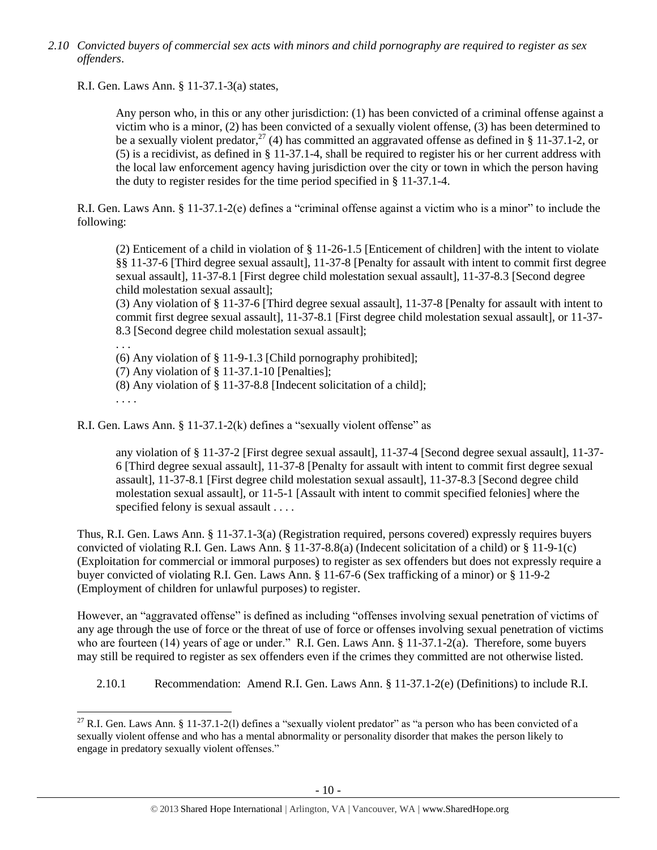*2.10 Convicted buyers of commercial sex acts with minors and child pornography are required to register as sex offenders*.

R.I. Gen. Laws Ann. § 11-37.1-3(a) states,

Any person who, in this or any other jurisdiction: (1) has been convicted of a criminal offense against a victim who is a minor, (2) has been convicted of a sexually violent offense, (3) has been determined to be a sexually violent predator,<sup>27</sup> (4) has committed an aggravated offense as defined in § 11-37.1-2, or (5) is a recidivist, as defined in § 11-37.1-4, shall be required to register his or her current address with the local law enforcement agency having jurisdiction over the city or town in which the person having the duty to register resides for the time period specified in § 11-37.1-4.

R.I. Gen. Laws Ann. § 11-37.1-2(e) defines a "criminal offense against a victim who is a minor" to include the following:

(2) Enticement of a child in violation of § 11-26-1.5 [Enticement of children] with the intent to violate §§ 11-37-6 [Third degree sexual assault], 11-37-8 [Penalty for assault with intent to commit first degree sexual assault], 11-37-8.1 [First degree child molestation sexual assault], 11-37-8.3 [Second degree child molestation sexual assault];

(3) Any violation of § 11-37-6 [Third degree sexual assault], 11-37-8 [Penalty for assault with intent to commit first degree sexual assault], 11-37-8.1 [First degree child molestation sexual assault], or 11-37- 8.3 [Second degree child molestation sexual assault];

. . .

(6) Any violation of § 11-9-1.3 [Child pornography prohibited];

(7) Any violation of § 11-37.1-10 [Penalties];

(8) Any violation of § 11-37-8.8 [Indecent solicitation of a child];

. . . .

 $\overline{\phantom{a}}$ 

R.I. Gen. Laws Ann. § 11-37.1-2(k) defines a "sexually violent offense" as

any violation of § 11-37-2 [First degree sexual assault], 11-37-4 [Second degree sexual assault], 11-37- 6 [Third degree sexual assault], 11-37-8 [Penalty for assault with intent to commit first degree sexual assault], 11-37-8.1 [First degree child molestation sexual assault], 11-37-8.3 [Second degree child molestation sexual assault], or 11-5-1 [Assault with intent to commit specified felonies] where the specified felony is sexual assault . . . .

Thus, R.I. Gen. Laws Ann. § 11-37.1-3(a) (Registration required, persons covered) expressly requires buyers convicted of violating R.I. Gen. Laws Ann. § 11-37-8.8(a) (Indecent solicitation of a child) or § 11-9-1(c) (Exploitation for commercial or immoral purposes) to register as sex offenders but does not expressly require a buyer convicted of violating R.I. Gen. Laws Ann. § 11-67-6 (Sex trafficking of a minor) or § 11-9-2 (Employment of children for unlawful purposes) to register.

However, an "aggravated offense" is defined as including "offenses involving sexual penetration of victims of any age through the use of force or the threat of use of force or offenses involving sexual penetration of victims who are fourteen (14) years of age or under." R.I. Gen. Laws Ann. § 11-37.1-2(a). Therefore, some buyers may still be required to register as sex offenders even if the crimes they committed are not otherwise listed.

2.10.1 Recommendation: Amend R.I. Gen. Laws Ann. § 11-37.1-2(e) (Definitions) to include R.I.

<sup>&</sup>lt;sup>27</sup> R.I. Gen. Laws Ann. § 11-37.1-2(1) defines a "sexually violent predator" as "a person who has been convicted of a sexually violent offense and who has a mental abnormality or personality disorder that makes the person likely to engage in predatory sexually violent offenses."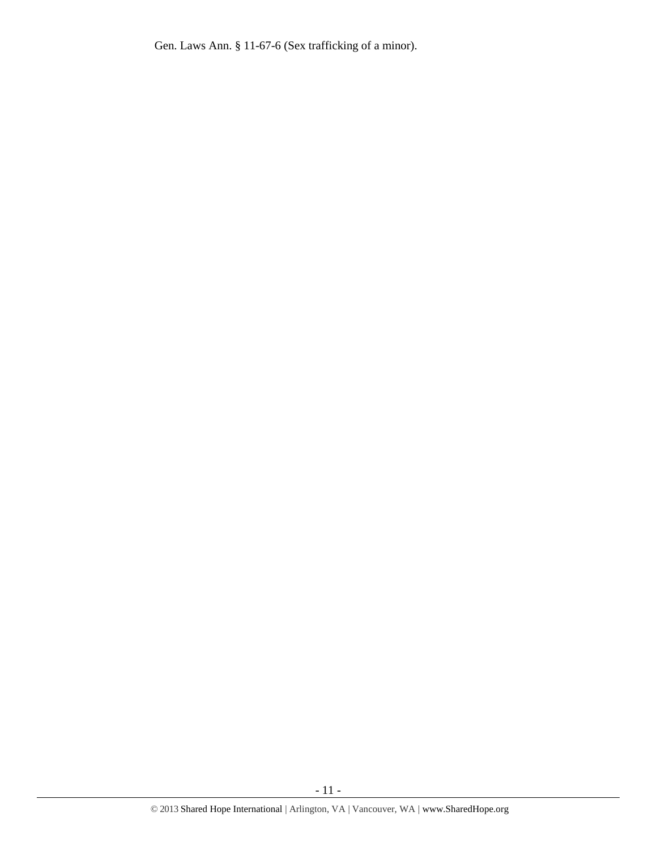Gen. Laws Ann. § 11-67-6 (Sex trafficking of a minor).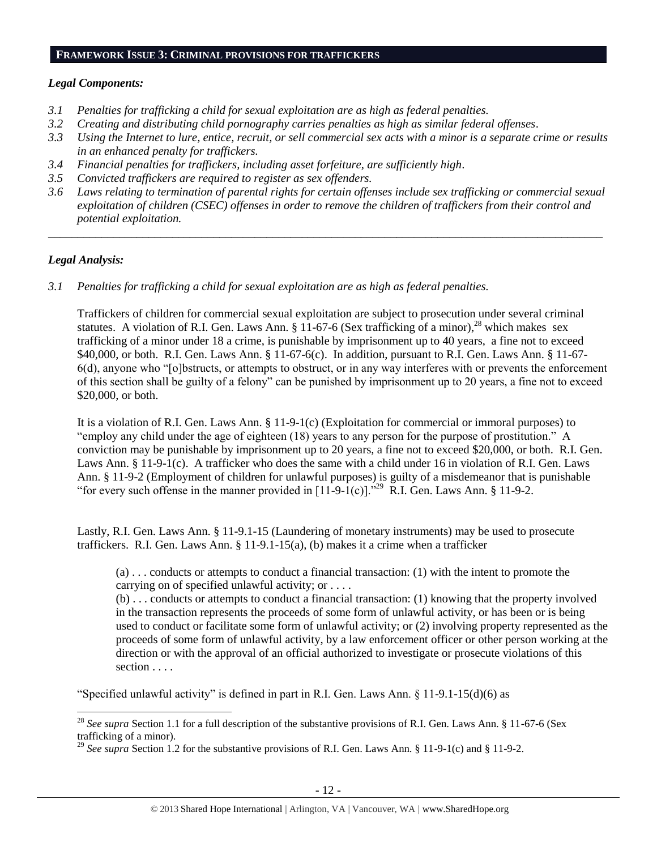#### **FRAMEWORK ISSUE 3: CRIMINAL PROVISIONS FOR TRAFFICKERS**

#### *Legal Components:*

- *3.1 Penalties for trafficking a child for sexual exploitation are as high as federal penalties.*
- *3.2 Creating and distributing child pornography carries penalties as high as similar federal offenses*.
- *3.3 Using the Internet to lure, entice, recruit, or sell commercial sex acts with a minor is a separate crime or results in an enhanced penalty for traffickers.*
- *3.4 Financial penalties for traffickers, including asset forfeiture, are sufficiently high*.
- *3.5 Convicted traffickers are required to register as sex offenders.*
- *3.6 Laws relating to termination of parental rights for certain offenses include sex trafficking or commercial sexual exploitation of children (CSEC) offenses in order to remove the children of traffickers from their control and potential exploitation.*

*\_\_\_\_\_\_\_\_\_\_\_\_\_\_\_\_\_\_\_\_\_\_\_\_\_\_\_\_\_\_\_\_\_\_\_\_\_\_\_\_\_\_\_\_\_\_\_\_\_\_\_\_\_\_\_\_\_\_\_\_\_\_\_\_\_\_\_\_\_\_\_\_\_\_\_\_\_\_\_\_\_\_\_\_\_\_\_\_\_\_\_\_\_\_*

# *Legal Analysis:*

 $\overline{\phantom{a}}$ 

*3.1 Penalties for trafficking a child for sexual exploitation are as high as federal penalties.* 

Traffickers of children for commercial sexual exploitation are subject to prosecution under several criminal statutes. A violation of R.I. Gen. Laws Ann. § 11-67-6 (Sex trafficking of a minor),<sup>28</sup> which makes sex trafficking of a minor under 18 a crime, is punishable by imprisonment up to 40 years, a fine not to exceed \$40,000, or both. R.I. Gen. Laws Ann. § 11-67-6(c). In addition, pursuant to R.I. Gen. Laws Ann. § 11-67- 6(d), anyone who "[o]bstructs, or attempts to obstruct, or in any way interferes with or prevents the enforcement of this section shall be guilty of a felony" can be punished by imprisonment up to 20 years, a fine not to exceed \$20,000, or both.

It is a violation of R.I. Gen. Laws Ann. § 11-9-1(c) (Exploitation for commercial or immoral purposes) to "employ any child under the age of eighteen (18) years to any person for the purpose of prostitution." A conviction may be punishable by imprisonment up to 20 years, a fine not to exceed \$20,000, or both. R.I. Gen. Laws Ann. § 11-9-1(c). A trafficker who does the same with a child under 16 in violation of R.I. Gen. Laws Ann. § 11-9-2 (Employment of children for unlawful purposes) is guilty of a misdemeanor that is punishable "for every such offense in the manner provided in  $[11-9-1(c)]$ ."<sup>29</sup> R.I. Gen. Laws Ann. § 11-9-2.

Lastly, R.I. Gen. Laws Ann. § 11-9.1-15 (Laundering of monetary instruments) may be used to prosecute traffickers. R.I. Gen. Laws Ann. § 11-9.1-15(a), (b) makes it a crime when a trafficker

(a) . . . conducts or attempts to conduct a financial transaction: (1) with the intent to promote the carrying on of specified unlawful activity; or . . . .

(b) . . . conducts or attempts to conduct a financial transaction: (1) knowing that the property involved in the transaction represents the proceeds of some form of unlawful activity, or has been or is being used to conduct or facilitate some form of unlawful activity; or (2) involving property represented as the proceeds of some form of unlawful activity, by a law enforcement officer or other person working at the direction or with the approval of an official authorized to investigate or prosecute violations of this section . . . .

"Specified unlawful activity" is defined in part in R.I. Gen. Laws Ann.  $\S$  11-9.1-15(d)(6) as

<sup>&</sup>lt;sup>28</sup> See supra Section 1.1 for a full description of the substantive provisions of R.I. Gen. Laws Ann. § 11-67-6 (Sex trafficking of a minor).

<sup>&</sup>lt;sup>29</sup> See supra Section 1.2 for the substantive provisions of R.I. Gen. Laws Ann. § 11-9-1(c) and § 11-9-2.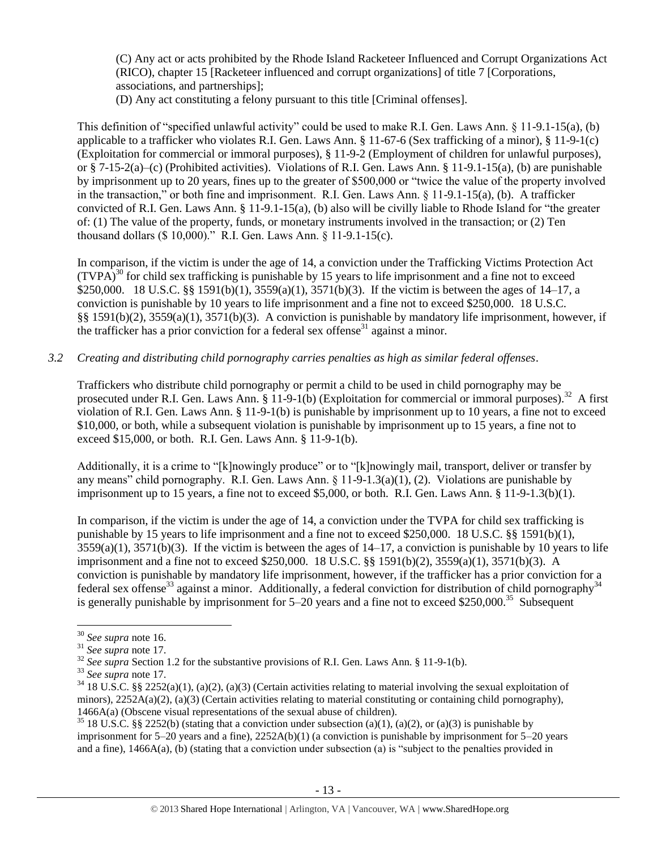(C) Any act or acts prohibited by the Rhode Island Racketeer Influenced and Corrupt Organizations Act (RICO), chapter 15 [Racketeer influenced and corrupt organizations] of title 7 [Corporations, associations, and partnerships];

(D) Any act constituting a felony pursuant to this title [Criminal offenses].

This definition of "specified unlawful activity" could be used to make R.I. Gen. Laws Ann. § 11-9.1-15(a), (b) applicable to a trafficker who violates R.I. Gen. Laws Ann. § 11-67-6 (Sex trafficking of a minor), § 11-9-1(c) (Exploitation for commercial or immoral purposes), § 11-9-2 (Employment of children for unlawful purposes), or § 7-15-2(a)–(c) (Prohibited activities). Violations of R.I. Gen. Laws Ann. § 11-9.1-15(a), (b) are punishable by imprisonment up to 20 years, fines up to the greater of \$500,000 or "twice the value of the property involved in the transaction," or both fine and imprisonment. R.I. Gen. Laws Ann. § 11-9.1-15(a), (b). A trafficker convicted of R.I. Gen. Laws Ann. § 11-9.1-15(a), (b) also will be civilly liable to Rhode Island for "the greater of: (1) The value of the property, funds, or monetary instruments involved in the transaction; or (2) Ten thousand dollars (\$ 10,000)." R.I. Gen. Laws Ann. § 11-9.1-15(c).

In comparison, if the victim is under the age of 14, a conviction under the Trafficking Victims Protection Act  $(TVPA)<sup>30</sup>$  for child sex trafficking is punishable by 15 years to life imprisonment and a fine not to exceed \$250,000. 18 U.S.C. §§ 1591(b)(1), 3559(a)(1), 3571(b)(3). If the victim is between the ages of 14–17, a conviction is punishable by 10 years to life imprisonment and a fine not to exceed \$250,000. 18 U.S.C. §§ 1591(b)(2), 3559(a)(1), 3571(b)(3). A conviction is punishable by mandatory life imprisonment, however, if the trafficker has a prior conviction for a federal sex offense<sup>31</sup> against a minor.

## *3.2 Creating and distributing child pornography carries penalties as high as similar federal offenses*.

Traffickers who distribute child pornography or permit a child to be used in child pornography may be prosecuted under R.I. Gen. Laws Ann. § 11-9-1(b) (Exploitation for commercial or immoral purposes).<sup>32</sup> A first violation of R.I. Gen. Laws Ann. § 11-9-1(b) is punishable by imprisonment up to 10 years, a fine not to exceed \$10,000, or both, while a subsequent violation is punishable by imprisonment up to 15 years, a fine not to exceed \$15,000, or both. R.I. Gen. Laws Ann. § 11-9-1(b).

Additionally, it is a crime to "[k]nowingly produce" or to "[k]nowingly mail, transport, deliver or transfer by any means" child pornography. R.I. Gen. Laws Ann. § 11-9-1.3(a)(1), (2). Violations are punishable by imprisonment up to 15 years, a fine not to exceed \$5,000, or both. R.I. Gen. Laws Ann. § 11-9-1.3(b)(1).

In comparison, if the victim is under the age of 14, a conviction under the TVPA for child sex trafficking is punishable by 15 years to life imprisonment and a fine not to exceed \$250,000. 18 U.S.C. §§ 1591(b)(1),  $3559(a)(1)$ ,  $3571(b)(3)$ . If the victim is between the ages of  $14-17$ , a conviction is punishable by 10 years to life imprisonment and a fine not to exceed \$250,000. 18 U.S.C. §§ 1591(b)(2), 3559(a)(1), 3571(b)(3). A conviction is punishable by mandatory life imprisonment, however, if the trafficker has a prior conviction for a federal sex offense<sup>33</sup> against a minor. Additionally, a federal conviction for distribution of child pornography<sup>34</sup> is generally punishable by imprisonment for  $5-20$  years and a fine not to exceed \$250,000.<sup>35</sup> Subsequent

 $\overline{\phantom{a}}$ <sup>30</sup> *See supra* note [16.](#page-5-0)

<sup>31</sup> *See supra* note [17.](#page-5-1) 

<sup>&</sup>lt;sup>32</sup> *See supra* Section 1.2 for the substantive provisions of R.I. Gen. Laws Ann. § 11-9-1(b).

<sup>33</sup> *See supra* note [17.](#page-5-1)

 $34$  18 U.S.C. §§ 2252(a)(1), (a)(2), (a)(3) (Certain activities relating to material involving the sexual exploitation of minors),  $2252A(a)(2)$ ,  $(a)(3)$  (Certain activities relating to material constituting or containing child pornography), 1466A(a) (Obscene visual representations of the sexual abuse of children).

<sup>&</sup>lt;sup>35</sup> 18 U.S.C. §§ 2252(b) (stating that a conviction under subsection (a)(1), (a)(2), or (a)(3) is punishable by imprisonment for  $5-20$  years and a fine),  $2252A(b)(1)$  (a conviction is punishable by imprisonment for  $5-20$  years and a fine), 1466A(a), (b) (stating that a conviction under subsection (a) is "subject to the penalties provided in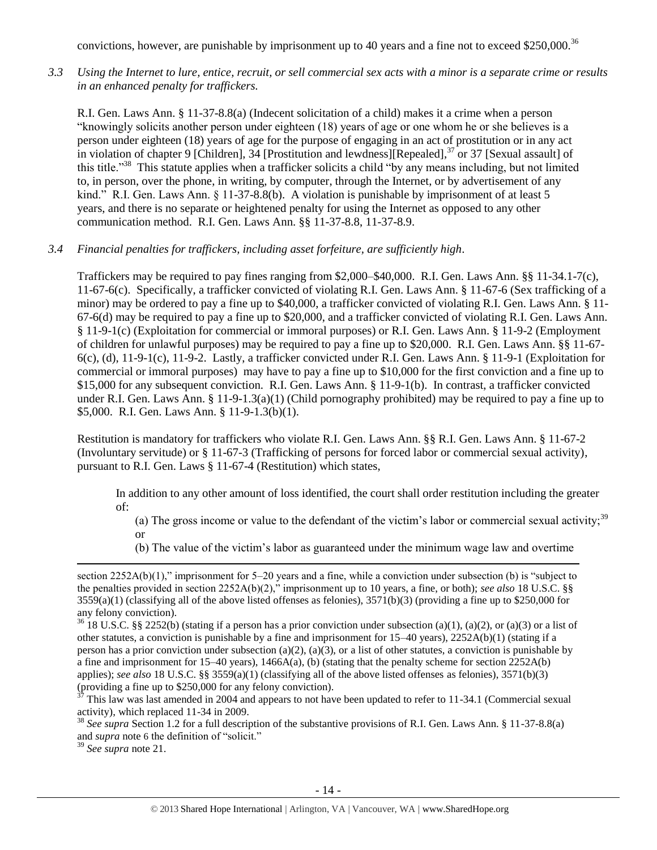convictions, however, are punishable by imprisonment up to 40 years and a fine not to exceed \$250,000.<sup>36</sup>

*3.3 Using the Internet to lure, entice, recruit, or sell commercial sex acts with a minor is a separate crime or results in an enhanced penalty for traffickers.*

R.I. Gen. Laws Ann. § 11-37-8.8(a) (Indecent solicitation of a child) makes it a crime when a person "knowingly solicits another person under eighteen (18) years of age or one whom he or she believes is a person under eighteen (18) years of age for the purpose of engaging in an act of prostitution or in any act in violation of chapter 9 [Children], 34 [Prostitution and lewdness][Repealed],<sup>37</sup> or 37 [Sexual assault] of this title."<sup>38</sup> This statute applies when a trafficker solicits a child "by any means including, but not limited to, in person, over the phone, in writing, by computer, through the Internet, or by advertisement of any kind." R.I. Gen. Laws Ann. § 11-37-8.8(b). A violation is punishable by imprisonment of at least 5 years, and there is no separate or heightened penalty for using the Internet as opposed to any other communication method. R.I. Gen. Laws Ann. §§ 11-37-8.8, 11-37-8.9.

*3.4 Financial penalties for traffickers, including asset forfeiture, are sufficiently high*.

Traffickers may be required to pay fines ranging from \$2,000–\$40,000. R.I. Gen. Laws Ann. §§ 11-34.1-7(c), 11-67-6(c). Specifically, a trafficker convicted of violating R.I. Gen. Laws Ann. § 11-67-6 (Sex trafficking of a minor) may be ordered to pay a fine up to \$40,000, a trafficker convicted of violating R.I. Gen. Laws Ann. § 11- 67-6(d) may be required to pay a fine up to \$20,000, and a trafficker convicted of violating R.I. Gen. Laws Ann. § 11-9-1(c) (Exploitation for commercial or immoral purposes) or R.I. Gen. Laws Ann. § 11-9-2 (Employment of children for unlawful purposes) may be required to pay a fine up to \$20,000. R.I. Gen. Laws Ann. §§ 11-67-  $6(c)$ , (d), 11-9-1(c), 11-9-2. Lastly, a trafficker convicted under R.I. Gen. Laws Ann. § 11-9-1 (Exploitation for commercial or immoral purposes) may have to pay a fine up to \$10,000 for the first conviction and a fine up to \$15,000 for any subsequent conviction. R.I. Gen. Laws Ann. § 11-9-1(b). In contrast, a trafficker convicted under R.I. Gen. Laws Ann. § 11-9-1.3(a)(1) (Child pornography prohibited) may be required to pay a fine up to \$5,000. R.I. Gen. Laws Ann. § 11-9-1.3(b)(1).

Restitution is mandatory for traffickers who violate R.I. Gen. Laws Ann. §§ R.I. Gen. Laws Ann. § 11-67-2 (Involuntary servitude) or § 11-67-3 (Trafficking of persons for forced labor or commercial sexual activity), pursuant to R.I. Gen. Laws § 11-67-4 (Restitution) which states,

In addition to any other amount of loss identified, the court shall order restitution including the greater of:

(a) The gross income or value to the defendant of the victim's labor or commercial sexual activity;<sup>39</sup> or

(b) The value of the victim's labor as guaranteed under the minimum wage law and overtime

<sup>39</sup> *See supra* note [21.](#page-7-0) 

 $\overline{\phantom{a}}$ 

section 2252A(b)(1)," imprisonment for 5–20 years and a fine, while a conviction under subsection (b) is "subject to the penalties provided in section 2252A(b)(2)," imprisonment up to 10 years, a fine, or both); *see also* 18 U.S.C. §§  $3559(a)(1)$  (classifying all of the above listed offenses as felonies),  $3571(b)(3)$  (providing a fine up to \$250,000 for any felony conviction).

<sup>&</sup>lt;sup>36</sup> 18 U.S.C. §§ 2252(b) (stating if a person has a prior conviction under subsection (a)(1), (a)(2), or (a)(3) or a list of other statutes, a conviction is punishable by a fine and imprisonment for  $15-40$  years),  $2252A(b)(1)$  (stating if a person has a prior conviction under subsection (a)(2), (a)(3), or a list of other statutes, a conviction is punishable by a fine and imprisonment for 15–40 years), 1466A(a), (b) (stating that the penalty scheme for section  $2252A(b)$ applies); *see also* 18 U.S.C. §§ 3559(a)(1) (classifying all of the above listed offenses as felonies), 3571(b)(3) (providing a fine up to \$250,000 for any felony conviction).

This law was last amended in 2004 and appears to not have been updated to refer to 11-34.1 (Commercial sexual activity), which replaced 11-34 in 2009.

<sup>38</sup> *See supra* Section 1.2 for a full description of the substantive provisions of R.I. Gen. Laws Ann. § 11-37-8.8(a) and *supra* note [6](#page-2-1) the definition of "solicit."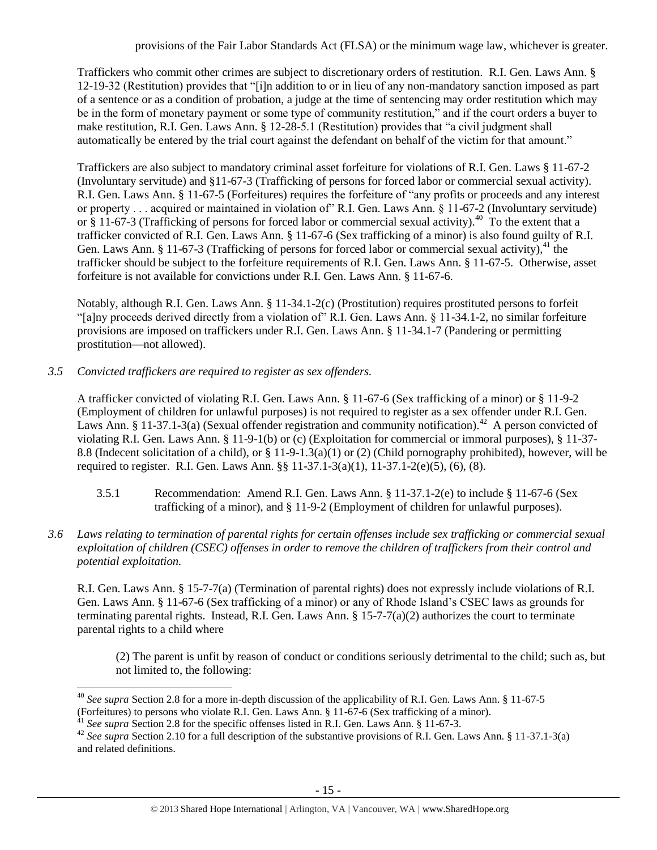Traffickers who commit other crimes are subject to discretionary orders of restitution. R.I. Gen. Laws Ann. § 12-19-32 (Restitution) provides that "[i]n addition to or in lieu of any non-mandatory sanction imposed as part of a sentence or as a condition of probation, a judge at the time of sentencing may order restitution which may be in the form of monetary payment or some type of community restitution," and if the court orders a buyer to make restitution, R.I. Gen. Laws Ann. § 12-28-5.1 (Restitution) provides that "a civil judgment shall automatically be entered by the trial court against the defendant on behalf of the victim for that amount."

Traffickers are also subject to mandatory criminal asset forfeiture for violations of R.I. Gen. Laws § 11-67-2 (Involuntary servitude) and §11-67-3 (Trafficking of persons for forced labor or commercial sexual activity). R.I. Gen. Laws Ann. § 11-67-5 (Forfeitures) requires the forfeiture of "any profits or proceeds and any interest or property . . . acquired or maintained in violation of" R.I. Gen. Laws Ann. § 11-67-2 (Involuntary servitude) or  $\S$  11-67-3 (Trafficking of persons for forced labor or commercial sexual activity).<sup>40</sup> To the extent that a trafficker convicted of R.I. Gen. Laws Ann. § 11-67-6 (Sex trafficking of a minor) is also found guilty of R.I. Gen. Laws Ann. § 11-67-3 (Trafficking of persons for forced labor or commercial sexual activity), $^{41}$  the trafficker should be subject to the forfeiture requirements of R.I. Gen. Laws Ann. § 11-67-5. Otherwise, asset forfeiture is not available for convictions under R.I. Gen. Laws Ann. § 11-67-6.

Notably, although R.I. Gen. Laws Ann. § 11-34.1-2(c) (Prostitution) requires prostituted persons to forfeit "[a]ny proceeds derived directly from a violation of" R.I. Gen. Laws Ann. § 11-34.1-2, no similar forfeiture provisions are imposed on traffickers under R.I. Gen. Laws Ann. § 11-34.1-7 (Pandering or permitting prostitution—not allowed).

*3.5 Convicted traffickers are required to register as sex offenders.*

A trafficker convicted of violating R.I. Gen. Laws Ann. § 11-67-6 (Sex trafficking of a minor) or § 11-9-2 (Employment of children for unlawful purposes) is not required to register as a sex offender under R.I. Gen. Laws Ann. § 11-37.1-3(a) (Sexual offender registration and community notification).<sup>42</sup> A person convicted of violating R.I. Gen. Laws Ann. § 11-9-1(b) or (c) (Exploitation for commercial or immoral purposes), § 11-37- 8.8 (Indecent solicitation of a child), or § 11-9-1.3(a)(1) or (2) (Child pornography prohibited), however, will be required to register. R.I. Gen. Laws Ann. §§ 11-37.1-3(a)(1), 11-37.1-2(e)(5), (6), (8).

- 3.5.1 Recommendation: Amend R.I. Gen. Laws Ann. § 11-37.1-2(e) to include § 11-67-6 (Sex trafficking of a minor), and § 11-9-2 (Employment of children for unlawful purposes).
- *3.6 Laws relating to termination of parental rights for certain offenses include sex trafficking or commercial sexual exploitation of children (CSEC) offenses in order to remove the children of traffickers from their control and potential exploitation.*

R.I. Gen. Laws Ann. § 15-7-7(a) (Termination of parental rights) does not expressly include violations of R.I. Gen. Laws Ann. § 11-67-6 (Sex trafficking of a minor) or any of Rhode Island's CSEC laws as grounds for terminating parental rights. Instead, R.I. Gen. Laws Ann.  $\S 15$ -7-7(a)(2) authorizes the court to terminate parental rights to a child where

(2) The parent is unfit by reason of conduct or conditions seriously detrimental to the child; such as, but not limited to, the following:

 $\overline{a}$ <sup>40</sup> *See supra* Section 2.8 for a more in-depth discussion of the applicability of R.I. Gen. Laws Ann. § 11-67-5 (Forfeitures) to persons who violate R.I. Gen. Laws Ann. § 11-67-6 (Sex trafficking of a minor).

<sup>&</sup>lt;sup>41</sup> See supra Section 2.8 for the specific offenses listed in R.I. Gen. Laws Ann. § 11-67-3.

<sup>&</sup>lt;sup>42</sup> See supra Section 2.10 for a full description of the substantive provisions of R.I. Gen. Laws Ann. § 11-37.1-3(a) and related definitions.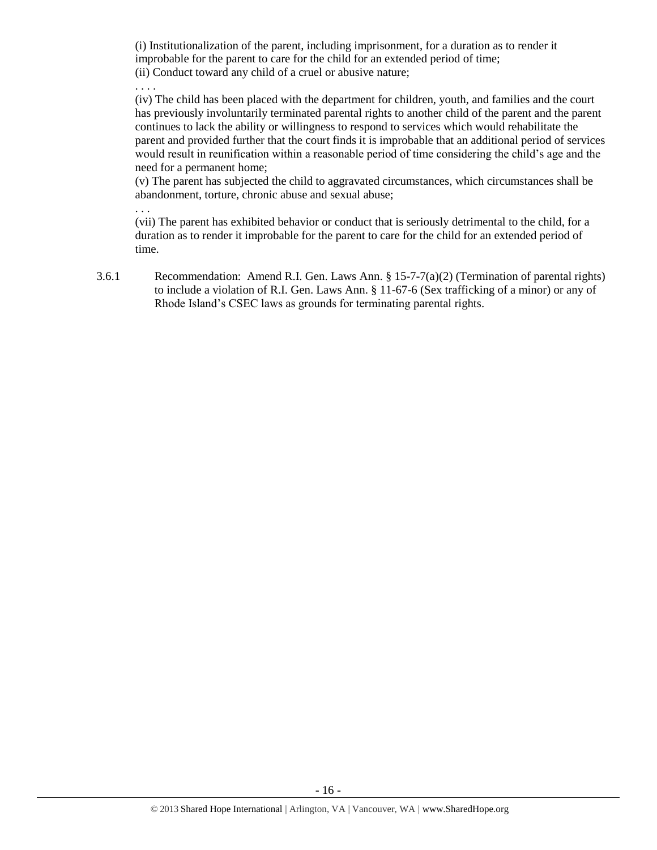(i) Institutionalization of the parent, including imprisonment, for a duration as to render it improbable for the parent to care for the child for an extended period of time; (ii) Conduct toward any child of a cruel or abusive nature;

. . . .

. . .

(iv) The child has been placed with the department for children, youth, and families and the court has previously involuntarily terminated parental rights to another child of the parent and the parent continues to lack the ability or willingness to respond to services which would rehabilitate the parent and provided further that the court finds it is improbable that an additional period of services would result in reunification within a reasonable period of time considering the child's age and the need for a permanent home;

(v) The parent has subjected the child to aggravated circumstances, which circumstances shall be abandonment, torture, chronic abuse and sexual abuse;

(vii) The parent has exhibited behavior or conduct that is seriously detrimental to the child, for a duration as to render it improbable for the parent to care for the child for an extended period of time.

3.6.1 Recommendation: Amend R.I. Gen. Laws Ann. § 15-7-7(a)(2) (Termination of parental rights) to include a violation of R.I. Gen. Laws Ann. § 11-67-6 (Sex trafficking of a minor) or any of Rhode Island's CSEC laws as grounds for terminating parental rights.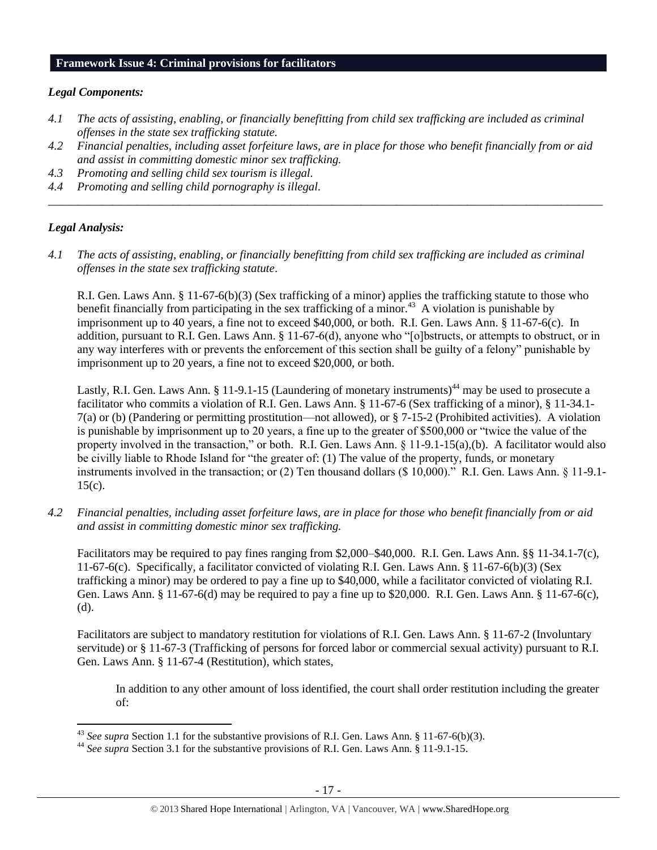#### **Framework Issue 4: Criminal provisions for facilitators**

#### *Legal Components:*

- *4.1 The acts of assisting, enabling, or financially benefitting from child sex trafficking are included as criminal offenses in the state sex trafficking statute.*
- *4.2 Financial penalties, including asset forfeiture laws, are in place for those who benefit financially from or aid and assist in committing domestic minor sex trafficking.*

*\_\_\_\_\_\_\_\_\_\_\_\_\_\_\_\_\_\_\_\_\_\_\_\_\_\_\_\_\_\_\_\_\_\_\_\_\_\_\_\_\_\_\_\_\_\_\_\_\_\_\_\_\_\_\_\_\_\_\_\_\_\_\_\_\_\_\_\_\_\_\_\_\_\_\_\_\_\_\_\_\_\_\_\_\_\_\_\_\_\_\_\_\_\_*

- *4.3 Promoting and selling child sex tourism is illegal.*
- *4.4 Promoting and selling child pornography is illegal.*

## *Legal Analysis:*

l

*4.1 The acts of assisting, enabling, or financially benefitting from child sex trafficking are included as criminal offenses in the state sex trafficking statute*.

R.I. Gen. Laws Ann. § 11-67-6(b)(3) (Sex trafficking of a minor) applies the trafficking statute to those who benefit financially from participating in the sex trafficking of a minor.<sup>43</sup> A violation is punishable by imprisonment up to 40 years, a fine not to exceed \$40,000, or both. R.I. Gen. Laws Ann. § 11-67-6(c). In addition, pursuant to R.I. Gen. Laws Ann. § 11-67-6(d), anyone who "[o]bstructs, or attempts to obstruct, or in any way interferes with or prevents the enforcement of this section shall be guilty of a felony" punishable by imprisonment up to 20 years, a fine not to exceed \$20,000, or both.

Lastly, R.I. Gen. Laws Ann. § 11-9.1-15 (Laundering of monetary instruments)<sup>44</sup> may be used to prosecute a facilitator who commits a violation of R.I. Gen. Laws Ann. § 11-67-6 (Sex trafficking of a minor), § 11-34.1- 7(a) or (b) (Pandering or permitting prostitution—not allowed), or § 7-15-2 (Prohibited activities). A violation is punishable by imprisonment up to 20 years, a fine up to the greater of \$500,000 or "twice the value of the property involved in the transaction," or both. R.I. Gen. Laws Ann. § 11-9.1-15(a),(b). A facilitator would also be civilly liable to Rhode Island for "the greater of: (1) The value of the property, funds, or monetary instruments involved in the transaction; or (2) Ten thousand dollars (\$ 10,000)." R.I. Gen. Laws Ann. § 11-9.1- 15(c).

*4.2 Financial penalties, including asset forfeiture laws, are in place for those who benefit financially from or aid and assist in committing domestic minor sex trafficking.*

Facilitators may be required to pay fines ranging from \$2,000–\$40,000. R.I. Gen. Laws Ann. §§ 11-34.1-7(c), 11-67-6(c). Specifically, a facilitator convicted of violating R.I. Gen. Laws Ann. § 11-67-6(b)(3) (Sex trafficking a minor) may be ordered to pay a fine up to \$40,000, while a facilitator convicted of violating R.I. Gen. Laws Ann. § 11-67-6(d) may be required to pay a fine up to \$20,000. R.I. Gen. Laws Ann. § 11-67-6(c), (d).

Facilitators are subject to mandatory restitution for violations of R.I. Gen. Laws Ann. § 11-67-2 (Involuntary servitude) or § 11-67-3 (Trafficking of persons for forced labor or commercial sexual activity) pursuant to R.I. Gen. Laws Ann. § 11-67-4 (Restitution), which states,

In addition to any other amount of loss identified, the court shall order restitution including the greater of:

<sup>43</sup> *See supra* Section 1.1 for the substantive provisions of R.I. Gen. Laws Ann. § 11-67-6(b)(3).

<sup>44</sup> *See supra* Section 3.1 for the substantive provisions of R.I. Gen. Laws Ann. § 11-9.1-15.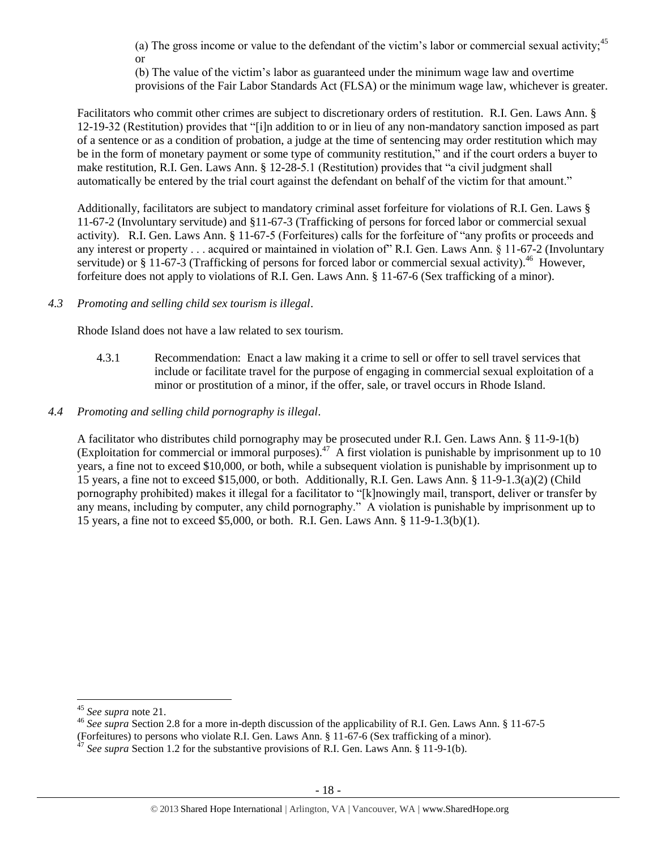(a) The gross income or value to the defendant of the victim's labor or commercial sexual activity;<sup>45</sup> or

(b) The value of the victim's labor as guaranteed under the minimum wage law and overtime provisions of the Fair Labor Standards Act (FLSA) or the minimum wage law, whichever is greater.

Facilitators who commit other crimes are subject to discretionary orders of restitution. R.I. Gen. Laws Ann. § 12-19-32 (Restitution) provides that "[i]n addition to or in lieu of any non-mandatory sanction imposed as part of a sentence or as a condition of probation, a judge at the time of sentencing may order restitution which may be in the form of monetary payment or some type of community restitution," and if the court orders a buyer to make restitution, R.I. Gen. Laws Ann. § 12-28-5.1 (Restitution) provides that "a civil judgment shall automatically be entered by the trial court against the defendant on behalf of the victim for that amount."

Additionally, facilitators are subject to mandatory criminal asset forfeiture for violations of R.I. Gen. Laws § 11-67-2 (Involuntary servitude) and §11-67-3 (Trafficking of persons for forced labor or commercial sexual activity). R.I. Gen. Laws Ann. § 11-67-5 (Forfeitures) calls for the forfeiture of "any profits or proceeds and any interest or property . . . acquired or maintained in violation of" R.I. Gen. Laws Ann. § 11-67-2 (Involuntary servitude) or § 11-67-3 (Trafficking of persons for forced labor or commercial sexual activity).<sup>46</sup> However, forfeiture does not apply to violations of R.I. Gen. Laws Ann. § 11-67-6 (Sex trafficking of a minor).

*4.3 Promoting and selling child sex tourism is illegal*.

Rhode Island does not have a law related to sex tourism.

- 4.3.1 Recommendation: Enact a law making it a crime to sell or offer to sell travel services that include or facilitate travel for the purpose of engaging in commercial sexual exploitation of a minor or prostitution of a minor, if the offer, sale, or travel occurs in Rhode Island.
- *4.4 Promoting and selling child pornography is illegal*.

A facilitator who distributes child pornography may be prosecuted under R.I. Gen. Laws Ann. § 11-9-1(b) (Exploitation for commercial or immoral purposes).<sup>47</sup> A first violation is punishable by imprisonment up to 10 years, a fine not to exceed \$10,000, or both, while a subsequent violation is punishable by imprisonment up to 15 years, a fine not to exceed \$15,000, or both. Additionally, R.I. Gen. Laws Ann. § 11-9-1.3(a)(2) (Child pornography prohibited) makes it illegal for a facilitator to "[k]nowingly mail, transport, deliver or transfer by any means, including by computer, any child pornography." A violation is punishable by imprisonment up to 15 years, a fine not to exceed \$5,000, or both. R.I. Gen. Laws Ann. § 11-9-1.3(b)(1).

 $\overline{\phantom{a}}$ 

<sup>45</sup> *See supra* note [21.](#page-7-0) 

<sup>46</sup> *See supra* Section 2.8 for a more in-depth discussion of the applicability of R.I. Gen. Laws Ann. § 11-67-5 (Forfeitures) to persons who violate R.I. Gen. Laws Ann. § 11-67-6 (Sex trafficking of a minor).

<sup>&</sup>lt;sup>47</sup> See supra Section 1.2 for the substantive provisions of R.I. Gen. Laws Ann. § 11-9-1(b).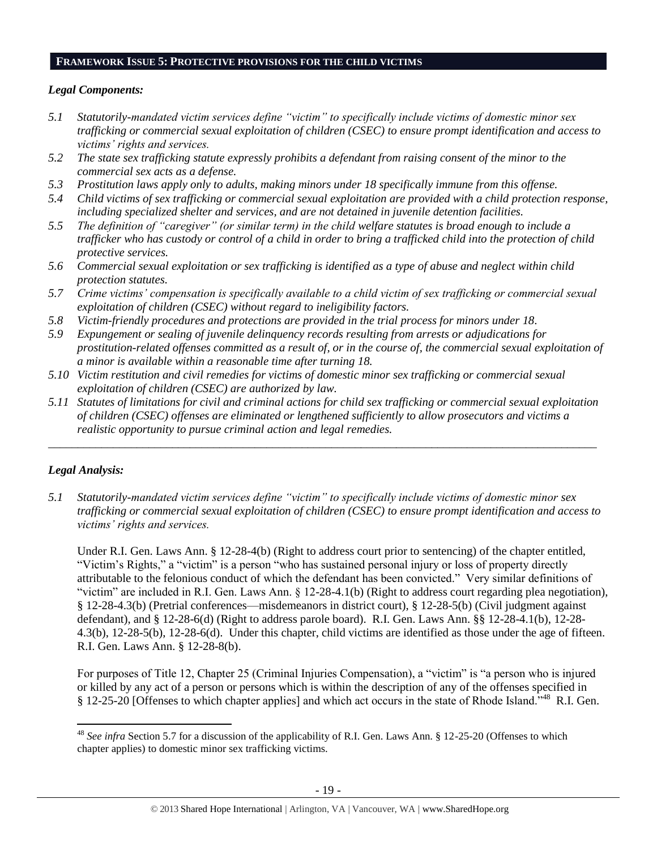## **FRAMEWORK ISSUE 5: PROTECTIVE PROVISIONS FOR THE CHILD VICTIMS**

#### *Legal Components:*

- *5.1 Statutorily-mandated victim services define "victim" to specifically include victims of domestic minor sex trafficking or commercial sexual exploitation of children (CSEC) to ensure prompt identification and access to victims' rights and services.*
- *5.2 The state sex trafficking statute expressly prohibits a defendant from raising consent of the minor to the commercial sex acts as a defense.*
- *5.3 Prostitution laws apply only to adults, making minors under 18 specifically immune from this offense.*
- *5.4 Child victims of sex trafficking or commercial sexual exploitation are provided with a child protection response, including specialized shelter and services, and are not detained in juvenile detention facilities.*
- *5.5 The definition of "caregiver" (or similar term) in the child welfare statutes is broad enough to include a trafficker who has custody or control of a child in order to bring a trafficked child into the protection of child protective services.*
- *5.6 Commercial sexual exploitation or sex trafficking is identified as a type of abuse and neglect within child protection statutes.*
- *5.7 Crime victims' compensation is specifically available to a child victim of sex trafficking or commercial sexual exploitation of children (CSEC) without regard to ineligibility factors.*
- *5.8 Victim-friendly procedures and protections are provided in the trial process for minors under 18.*
- *5.9 Expungement or sealing of juvenile delinquency records resulting from arrests or adjudications for prostitution-related offenses committed as a result of, or in the course of, the commercial sexual exploitation of a minor is available within a reasonable time after turning 18.*
- *5.10 Victim restitution and civil remedies for victims of domestic minor sex trafficking or commercial sexual exploitation of children (CSEC) are authorized by law.*
- *5.11 Statutes of limitations for civil and criminal actions for child sex trafficking or commercial sexual exploitation of children (CSEC) offenses are eliminated or lengthened sufficiently to allow prosecutors and victims a realistic opportunity to pursue criminal action and legal remedies.*

*\_\_\_\_\_\_\_\_\_\_\_\_\_\_\_\_\_\_\_\_\_\_\_\_\_\_\_\_\_\_\_\_\_\_\_\_\_\_\_\_\_\_\_\_\_\_\_\_\_\_\_\_\_\_\_\_\_\_\_\_\_\_\_\_\_\_\_\_\_\_\_\_\_\_\_\_\_\_\_\_\_\_\_\_\_\_\_\_\_\_\_\_\_*

# *Legal Analysis:*

*5.1 Statutorily-mandated victim services define "victim" to specifically include victims of domestic minor sex trafficking or commercial sexual exploitation of children (CSEC) to ensure prompt identification and access to victims' rights and services.* 

Under R.I. Gen. Laws Ann. § 12-28-4(b) (Right to address court prior to sentencing) of the chapter entitled, "Victim's Rights," a "victim" is a person "who has sustained personal injury or loss of property directly attributable to the felonious conduct of which the defendant has been convicted." Very similar definitions of "victim" are included in R.I. Gen. Laws Ann. § 12-28-4.1(b) (Right to address court regarding plea negotiation), § 12-28-4.3(b) (Pretrial conferences—misdemeanors in district court), § 12-28-5(b) (Civil judgment against defendant), and § 12-28-6(d) (Right to address parole board). R.I. Gen. Laws Ann. §§ 12-28-4.1(b), 12-28- 4.3(b), 12-28-5(b), 12-28-6(d). Under this chapter, child victims are identified as those under the age of fifteen. R.I. Gen. Laws Ann. § 12-28-8(b).

For purposes of Title 12, Chapter 25 (Criminal Injuries Compensation), a "victim" is "a person who is injured or killed by any act of a person or persons which is within the description of any of the offenses specified in § 12-25-20 [Offenses to which chapter applies] and which act occurs in the state of Rhode Island.<sup>548</sup> R.I. Gen.

l <sup>48</sup> *See infra* Section 5.7 for a discussion of the applicability of R.I. Gen. Laws Ann. § 12-25-20 (Offenses to which chapter applies) to domestic minor sex trafficking victims.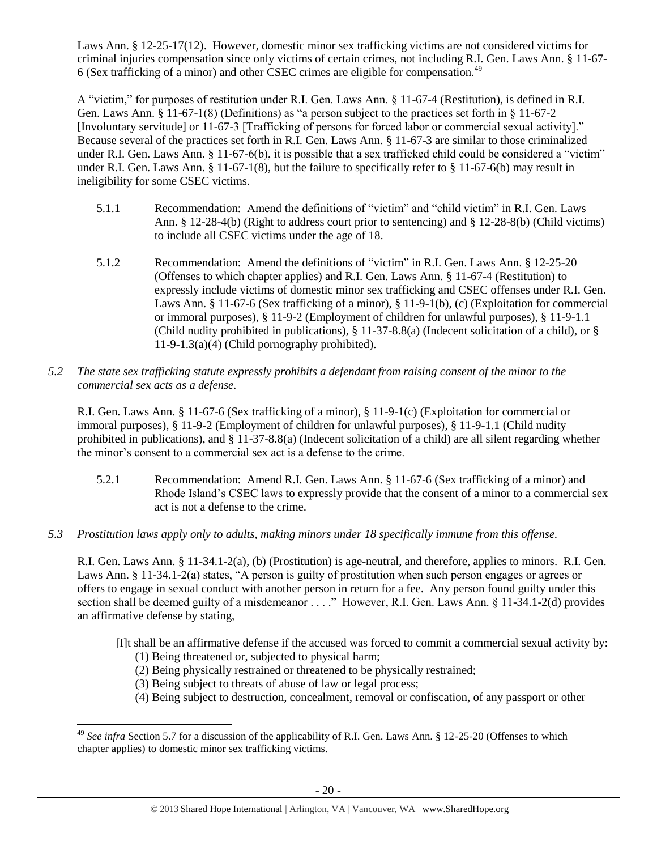Laws Ann. § 12-25-17(12). However, domestic minor sex trafficking victims are not considered victims for criminal injuries compensation since only victims of certain crimes, not including R.I. Gen. Laws Ann. § 11-67- 6 (Sex trafficking of a minor) and other CSEC crimes are eligible for compensation.<sup>49</sup>

A "victim," for purposes of restitution under R.I. Gen. Laws Ann. § 11-67-4 (Restitution), is defined in R.I. Gen. Laws Ann. § 11-67-1(8) (Definitions) as "a person subject to the practices set forth in § 11-67-2 [Involuntary servitude] or 11-67-3 [Trafficking of persons for forced labor or commercial sexual activity]." Because several of the practices set forth in R.I. Gen. Laws Ann. § 11-67-3 are similar to those criminalized under R.I. Gen. Laws Ann. § 11-67-6(b), it is possible that a sex trafficked child could be considered a "victim" under R.I. Gen. Laws Ann. § 11-67-1(8), but the failure to specifically refer to § 11-67-6(b) may result in ineligibility for some CSEC victims.

- 5.1.1 Recommendation: Amend the definitions of "victim" and "child victim" in R.I. Gen. Laws Ann. § 12-28-4(b) (Right to address court prior to sentencing) and § 12-28-8(b) (Child victims) to include all CSEC victims under the age of 18.
- 5.1.2 Recommendation: Amend the definitions of "victim" in R.I. Gen. Laws Ann. § 12-25-20 (Offenses to which chapter applies) and R.I. Gen. Laws Ann. § 11-67-4 (Restitution) to expressly include victims of domestic minor sex trafficking and CSEC offenses under R.I. Gen. Laws Ann. § 11-67-6 (Sex trafficking of a minor), § 11-9-1(b), (c) (Exploitation for commercial or immoral purposes), § 11-9-2 (Employment of children for unlawful purposes), § 11-9-1.1 (Child nudity prohibited in publications), § 11-37-8.8(a) (Indecent solicitation of a child), or § 11-9-1.3(a)(4) (Child pornography prohibited).
- *5.2 The state sex trafficking statute expressly prohibits a defendant from raising consent of the minor to the commercial sex acts as a defense.*

R.I. Gen. Laws Ann. § 11-67-6 (Sex trafficking of a minor), § 11-9-1(c) (Exploitation for commercial or immoral purposes), § 11-9-2 (Employment of children for unlawful purposes), § 11-9-1.1 (Child nudity prohibited in publications), and § 11-37-8.8(a) (Indecent solicitation of a child) are all silent regarding whether the minor's consent to a commercial sex act is a defense to the crime.

- 5.2.1 Recommendation: Amend R.I. Gen. Laws Ann. § 11-67-6 (Sex trafficking of a minor) and Rhode Island's CSEC laws to expressly provide that the consent of a minor to a commercial sex act is not a defense to the crime.
- *5.3 Prostitution laws apply only to adults, making minors under 18 specifically immune from this offense.*

R.I. Gen. Laws Ann. § 11-34.1-2(a), (b) (Prostitution) is age-neutral, and therefore, applies to minors. R.I. Gen. Laws Ann. § 11-34.1-2(a) states, "A person is guilty of prostitution when such person engages or agrees or offers to engage in sexual conduct with another person in return for a fee. Any person found guilty under this section shall be deemed guilty of a misdemeanor . . . ." However, R.I. Gen. Laws Ann. § 11-34.1-2(d) provides an affirmative defense by stating,

- [I]t shall be an affirmative defense if the accused was forced to commit a commercial sexual activity by:
	- (1) Being threatened or, subjected to physical harm;

l

- (2) Being physically restrained or threatened to be physically restrained;
- (3) Being subject to threats of abuse of law or legal process;
- (4) Being subject to destruction, concealment, removal or confiscation, of any passport or other

<sup>&</sup>lt;sup>49</sup> See infra Section 5.7 for a discussion of the applicability of R.I. Gen. Laws Ann. § 12-25-20 (Offenses to which chapter applies) to domestic minor sex trafficking victims.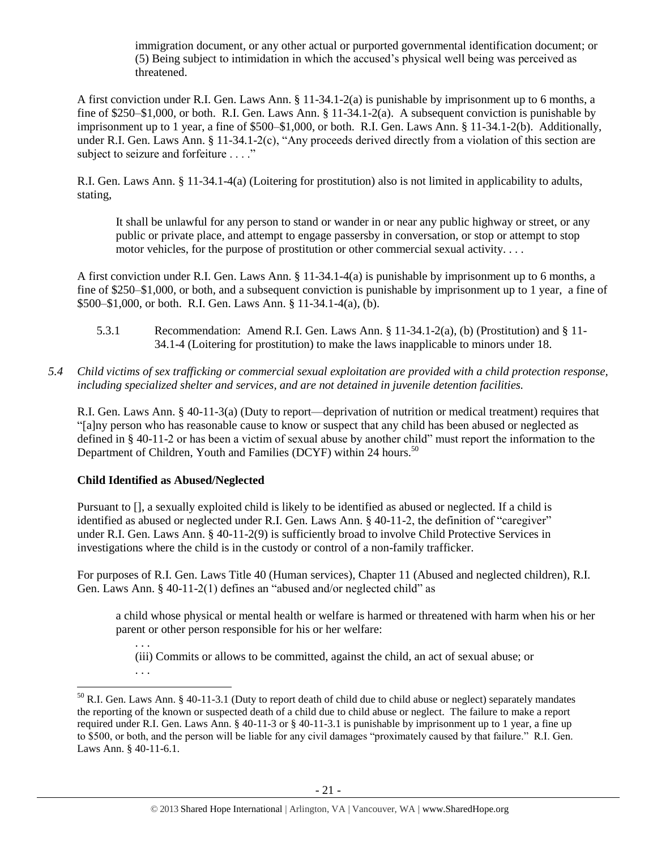immigration document, or any other actual or purported governmental identification document; or (5) Being subject to intimidation in which the accused's physical well being was perceived as threatened.

A first conviction under R.I. Gen. Laws Ann. § 11-34.1-2(a) is punishable by imprisonment up to 6 months, a fine of \$250–\$1,000, or both. R.I. Gen. Laws Ann. § 11-34.1-2(a). A subsequent conviction is punishable by imprisonment up to 1 year, a fine of \$500–\$1,000, or both. R.I. Gen. Laws Ann. § 11-34.1-2(b). Additionally, under R.I. Gen. Laws Ann. § 11-34.1-2(c), "Any proceeds derived directly from a violation of this section are subject to seizure and forfeiture . . . ."

R.I. Gen. Laws Ann. § 11-34.1-4(a) (Loitering for prostitution) also is not limited in applicability to adults, stating,

It shall be unlawful for any person to stand or wander in or near any public highway or street, or any public or private place, and attempt to engage passersby in conversation, or stop or attempt to stop motor vehicles, for the purpose of prostitution or other commercial sexual activity. . . .

A first conviction under R.I. Gen. Laws Ann. § 11-34.1-4(a) is punishable by imprisonment up to 6 months, a fine of \$250–\$1,000, or both, and a subsequent conviction is punishable by imprisonment up to 1 year, a fine of \$500–\$1,000, or both. R.I. Gen. Laws Ann. § 11-34.1-4(a), (b).

- 5.3.1 Recommendation: Amend R.I. Gen. Laws Ann. § 11-34.1-2(a), (b) (Prostitution) and § 11- 34.1-4 (Loitering for prostitution) to make the laws inapplicable to minors under 18.
- *5.4 Child victims of sex trafficking or commercial sexual exploitation are provided with a child protection response, including specialized shelter and services, and are not detained in juvenile detention facilities.*

R.I. Gen. Laws Ann. § 40-11-3(a) (Duty to report—deprivation of nutrition or medical treatment) requires that "[a]ny person who has reasonable cause to know or suspect that any child has been abused or neglected as defined in § 40-11-2 or has been a victim of sexual abuse by another child" must report the information to the Department of Children, Youth and Families (DCYF) within 24 hours.<sup>50</sup>

#### **Child Identified as Abused/Neglected**

Pursuant to [], a sexually exploited child is likely to be identified as abused or neglected. If a child is identified as abused or neglected under R.I. Gen. Laws Ann. § 40-11-2, the definition of "caregiver" under R.I. Gen. Laws Ann. § 40-11-2(9) is sufficiently broad to involve Child Protective Services in investigations where the child is in the custody or control of a non-family trafficker.

For purposes of R.I. Gen. Laws Title 40 (Human services), Chapter 11 (Abused and neglected children), R.I. Gen. Laws Ann. § 40-11-2(1) defines an "abused and/or neglected child" as

a child whose physical or mental health or welfare is harmed or threatened with harm when his or her parent or other person responsible for his or her welfare:

. . . (iii) Commits or allows to be committed, against the child, an act of sexual abuse; or

. . .

 $\overline{a}$ 

 $50$  R.I. Gen. Laws Ann. § 40-11-3.1 (Duty to report death of child due to child abuse or neglect) separately mandates the reporting of the known or suspected death of a child due to child abuse or neglect. The failure to make a report required under R.I. Gen. Laws Ann. § 40-11-3 or § 40-11-3.1 is punishable by imprisonment up to 1 year, a fine up to \$500, or both, and the person will be liable for any civil damages "proximately caused by that failure." R.I. Gen. Laws Ann. § 40-11-6.1.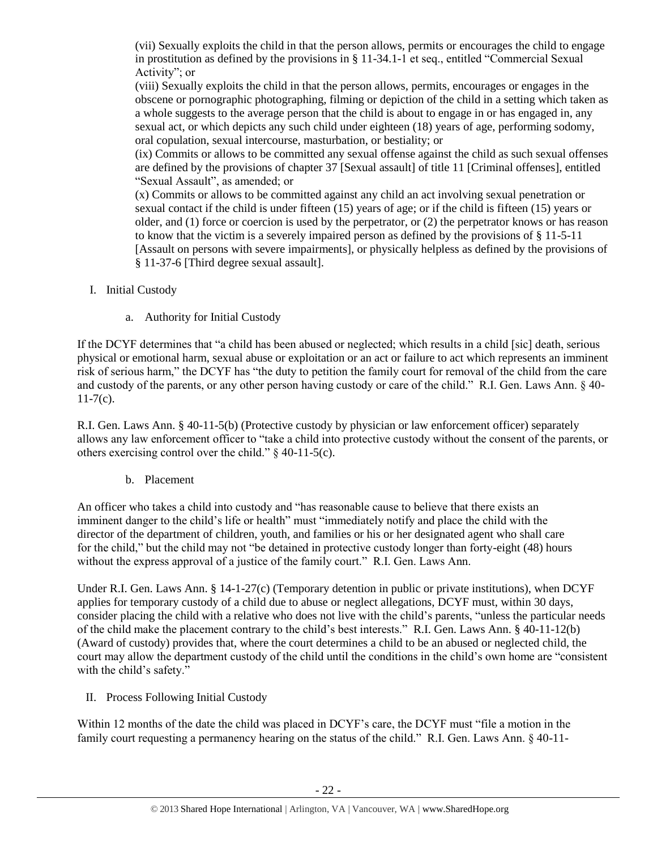(vii) Sexually exploits the child in that the person allows, permits or encourages the child to engage in prostitution as defined by the provisions in § 11-34.1-1 et seq., entitled "Commercial Sexual Activity"; or

(viii) Sexually exploits the child in that the person allows, permits, encourages or engages in the obscene or pornographic photographing, filming or depiction of the child in a setting which taken as a whole suggests to the average person that the child is about to engage in or has engaged in, any sexual act, or which depicts any such child under eighteen (18) years of age, performing sodomy, oral copulation, sexual intercourse, masturbation, or bestiality; or

(ix) Commits or allows to be committed any sexual offense against the child as such sexual offenses are defined by the provisions of chapter 37 [Sexual assault] of title 11 [Criminal offenses], entitled "Sexual Assault", as amended; or

(x) Commits or allows to be committed against any child an act involving sexual penetration or sexual contact if the child is under fifteen (15) years of age; or if the child is fifteen (15) years or older, and (1) force or coercion is used by the perpetrator, or (2) the perpetrator knows or has reason to know that the victim is a severely impaired person as defined by the provisions of  $\S 11-5-11$ [Assault on persons with severe impairments], or physically helpless as defined by the provisions of § 11-37-6 [Third degree sexual assault].

- I. Initial Custody
	- a. Authority for Initial Custody

If the DCYF determines that "a child has been abused or neglected; which results in a child [sic] death, serious physical or emotional harm, sexual abuse or exploitation or an act or failure to act which represents an imminent risk of serious harm," the DCYF has "the duty to petition the family court for removal of the child from the care and custody of the parents, or any other person having custody or care of the child." R.I. Gen. Laws Ann. § 40-  $11-7(c)$ .

R.I. Gen. Laws Ann. § 40-11-5(b) (Protective custody by physician or law enforcement officer) separately allows any law enforcement officer to "take a child into protective custody without the consent of the parents, or others exercising control over the child." § 40-11-5(c).

b. Placement

An officer who takes a child into custody and "has reasonable cause to believe that there exists an imminent danger to the child's life or health" must "immediately notify and place the child with the director of the department of children, youth, and families or his or her designated agent who shall care for the child," but the child may not "be detained in protective custody longer than forty-eight (48) hours without the express approval of a justice of the family court." R.I. Gen. Laws Ann.

Under R.I. Gen. Laws Ann. § 14-1-27(c) (Temporary detention in public or private institutions), when DCYF applies for temporary custody of a child due to abuse or neglect allegations, DCYF must, within 30 days, consider placing the child with a relative who does not live with the child's parents, "unless the particular needs of the child make the placement contrary to the child's best interests." R.I. Gen. Laws Ann. § 40-11-12(b) (Award of custody) provides that, where the court determines a child to be an abused or neglected child, the court may allow the department custody of the child until the conditions in the child's own home are "consistent with the child's safety."

II. Process Following Initial Custody

Within 12 months of the date the child was placed in DCYF's care, the DCYF must "file a motion in the family court requesting a permanency hearing on the status of the child." R.I. Gen. Laws Ann. § 40-11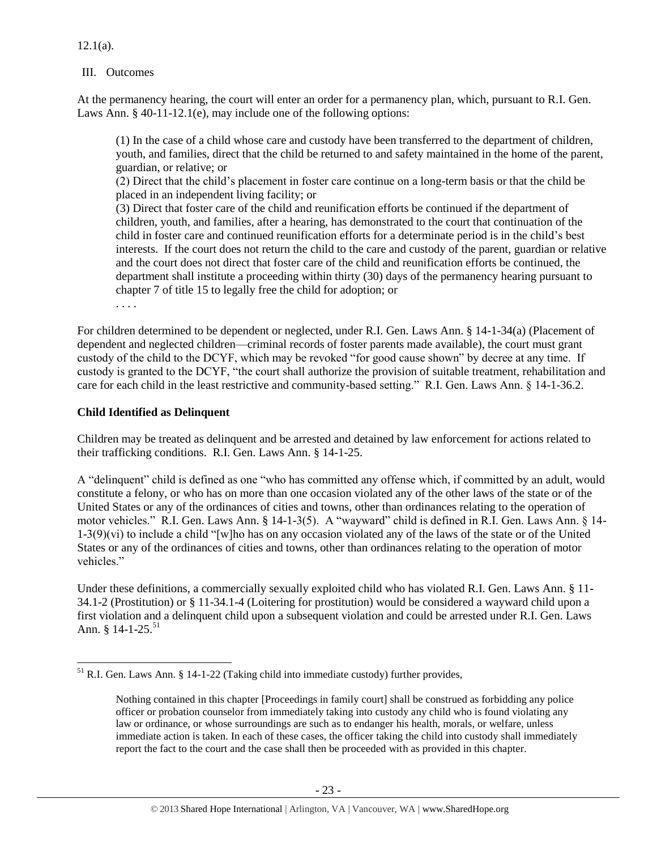$12.1(a)$ .

#### III. Outcomes

At the permanency hearing, the court will enter an order for a permanency plan, which, pursuant to R.I. Gen. Laws Ann. § 40-11-12.1(e), may include one of the following options:

(1) In the case of a child whose care and custody have been transferred to the department of children, youth, and families, direct that the child be returned to and safety maintained in the home of the parent, guardian, or relative; or

(2) Direct that the child's placement in foster care continue on a long-term basis or that the child be placed in an independent living facility; or

(3) Direct that foster care of the child and reunification efforts be continued if the department of children, youth, and families, after a hearing, has demonstrated to the court that continuation of the child in foster care and continued reunification efforts for a determinate period is in the child's best interests. If the court does not return the child to the care and custody of the parent, guardian or relative and the court does not direct that foster care of the child and reunification efforts be continued, the department shall institute a proceeding within thirty (30) days of the permanency hearing pursuant to chapter 7 of title 15 to legally free the child for adoption; or

. . . .

 $\overline{a}$ 

For children determined to be dependent or neglected, under R.I. Gen. Laws Ann. § 14-1-34(a) (Placement of dependent and neglected children—criminal records of foster parents made available), the court must grant custody of the child to the DCYF, which may be revoked "for good cause shown" by decree at any time. If custody is granted to the DCYF, "the court shall authorize the provision of suitable treatment, rehabilitation and care for each child in the least restrictive and community-based setting." R.I. Gen. Laws Ann. § 14-1-36.2.

## **Child Identified as Delinquent**

Children may be treated as delinquent and be arrested and detained by law enforcement for actions related to their trafficking conditions. R.I. Gen. Laws Ann. § 14-1-25.

A "delinquent" child is defined as one "who has committed any offense which, if committed by an adult, would constitute a felony, or who has on more than one occasion violated any of the other laws of the state or of the United States or any of the ordinances of cities and towns, other than ordinances relating to the operation of motor vehicles." R.I. Gen. Laws Ann. § 14-1-3(5). A "wayward" child is defined in R.I. Gen. Laws Ann. § 14- 1-3(9)(vi) to include a child "[w]ho has on any occasion violated any of the laws of the state or of the United States or any of the ordinances of cities and towns, other than ordinances relating to the operation of motor vehicles."

Under these definitions, a commercially sexually exploited child who has violated R.I. Gen. Laws Ann. § 11- 34.1-2 (Prostitution) or § 11-34.1-4 (Loitering for prostitution) would be considered a wayward child upon a first violation and a delinquent child upon a subsequent violation and could be arrested under R.I. Gen. Laws Ann. § 14-1-25.<sup>51</sup>

 $<sup>51</sup>$  R.I. Gen. Laws Ann. § 14-1-22 (Taking child into immediate custody) further provides,</sup>

Nothing contained in this chapter [Proceedings in family court] shall be construed as forbidding any police officer or probation counselor from immediately taking into custody any child who is found violating any law or ordinance, or whose surroundings are such as to endanger his health, morals, or welfare, unless immediate action is taken. In each of these cases, the officer taking the child into custody shall immediately report the fact to the court and the case shall then be proceeded with as provided in this chapter.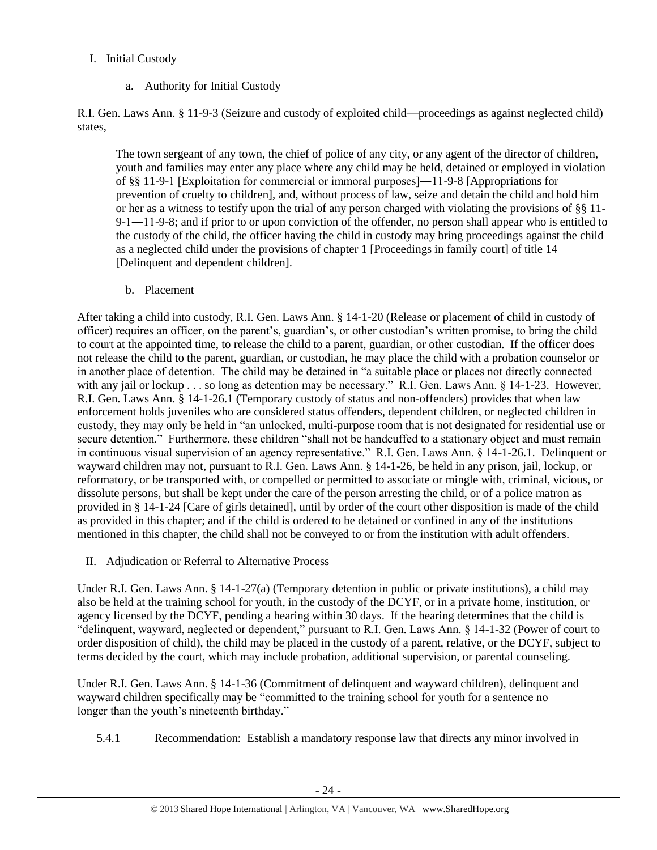# I. Initial Custody

a. Authority for Initial Custody

R.I. Gen. Laws Ann. § 11-9-3 (Seizure and custody of exploited child—proceedings as against neglected child) states,

The town sergeant of any town, the chief of police of any city, or any agent of the director of children, youth and families may enter any place where any child may be held, detained or employed in violation of §§ 11-9-1 [Exploitation for commercial or immoral purposes]―11-9-8 [Appropriations for prevention of cruelty to children], and, without process of law, seize and detain the child and hold him or her as a witness to testify upon the trial of any person charged with violating the provisions of §§ 11- 9-1―11-9-8; and if prior to or upon conviction of the offender, no person shall appear who is entitled to the custody of the child, the officer having the child in custody may bring proceedings against the child as a neglected child under the provisions of chapter 1 [Proceedings in family court] of title 14 [Delinquent and dependent children].

b. Placement

After taking a child into custody, R.I. Gen. Laws Ann. § 14-1-20 (Release or placement of child in custody of officer) requires an officer, on the parent's, guardian's, or other custodian's written promise, to bring the child to court at the appointed time, to release the child to a parent, guardian, or other custodian. If the officer does not release the child to the parent, guardian, or custodian, he may place the child with a probation counselor or in another place of detention. The child may be detained in "a suitable place or places not directly connected with any jail or lockup . . . so long as detention may be necessary." R.I. Gen. Laws Ann. § 14-1-23. However, R.I. Gen. Laws Ann. § 14-1-26.1 (Temporary custody of status and non-offenders) provides that when law enforcement holds juveniles who are considered status offenders, dependent children, or neglected children in custody, they may only be held in "an unlocked, multi-purpose room that is not designated for residential use or secure detention." Furthermore, these children "shall not be handcuffed to a stationary object and must remain in continuous visual supervision of an agency representative." R.I. Gen. Laws Ann. § 14-1-26.1. Delinquent or wayward children may not, pursuant to R.I. Gen. Laws Ann. § 14-1-26, be held in any prison, jail, lockup, or reformatory, or be transported with, or compelled or permitted to associate or mingle with, criminal, vicious, or dissolute persons, but shall be kept under the care of the person arresting the child, or of a police matron as provided in § 14-1-24 [Care of girls detained], until by order of the court other disposition is made of the child as provided in this chapter; and if the child is ordered to be detained or confined in any of the institutions mentioned in this chapter, the child shall not be conveyed to or from the institution with adult offenders.

II. Adjudication or Referral to Alternative Process

Under R.I. Gen. Laws Ann. § 14-1-27(a) (Temporary detention in public or private institutions), a child may also be held at the training school for youth, in the custody of the DCYF, or in a private home, institution, or agency licensed by the DCYF, pending a hearing within 30 days. If the hearing determines that the child is "delinquent, wayward, neglected or dependent," pursuant to R.I. Gen. Laws Ann. § 14-1-32 (Power of court to order disposition of child), the child may be placed in the custody of a parent, relative, or the DCYF, subject to terms decided by the court, which may include probation, additional supervision, or parental counseling.

Under R.I. Gen. Laws Ann. § 14-1-36 (Commitment of delinquent and wayward children), delinquent and wayward children specifically may be "committed to the training school for youth for a sentence no longer than the youth's nineteenth birthday."

5.4.1 Recommendation: Establish a mandatory response law that directs any minor involved in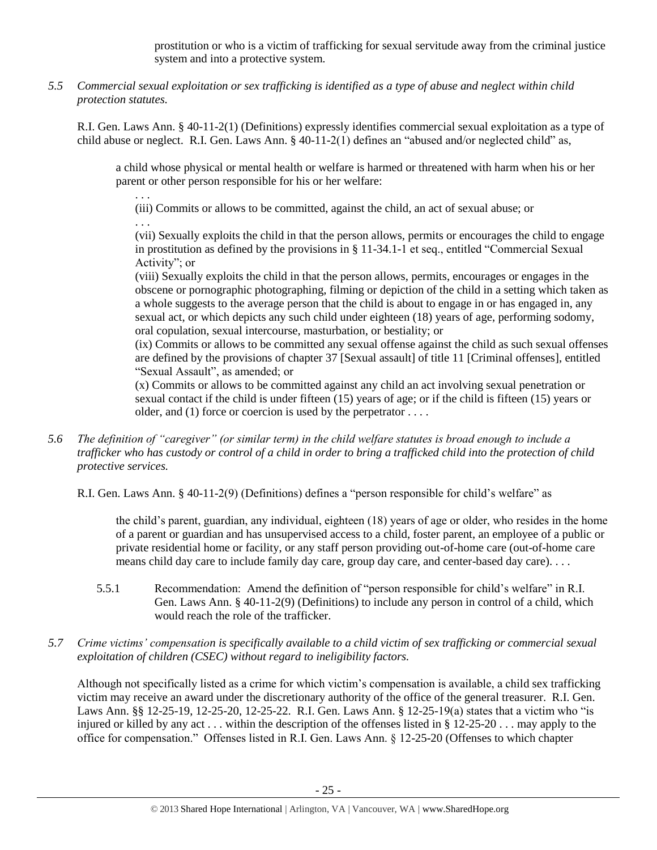prostitution or who is a victim of trafficking for sexual servitude away from the criminal justice system and into a protective system.

*5.5 Commercial sexual exploitation or sex trafficking is identified as a type of abuse and neglect within child protection statutes.*

R.I. Gen. Laws Ann. § 40-11-2(1) (Definitions) expressly identifies commercial sexual exploitation as a type of child abuse or neglect. R.I. Gen. Laws Ann. § 40-11-2(1) defines an "abused and/or neglected child" as,

a child whose physical or mental health or welfare is harmed or threatened with harm when his or her parent or other person responsible for his or her welfare:

. . . (iii) Commits or allows to be committed, against the child, an act of sexual abuse; or . . .

(vii) Sexually exploits the child in that the person allows, permits or encourages the child to engage in prostitution as defined by the provisions in § 11-34.1-1 et seq., entitled "Commercial Sexual Activity"; or

(viii) Sexually exploits the child in that the person allows, permits, encourages or engages in the obscene or pornographic photographing, filming or depiction of the child in a setting which taken as a whole suggests to the average person that the child is about to engage in or has engaged in, any sexual act, or which depicts any such child under eighteen (18) years of age, performing sodomy, oral copulation, sexual intercourse, masturbation, or bestiality; or

(ix) Commits or allows to be committed any sexual offense against the child as such sexual offenses are defined by the provisions of chapter 37 [Sexual assault] of title 11 [Criminal offenses], entitled "Sexual Assault", as amended; or

(x) Commits or allows to be committed against any child an act involving sexual penetration or sexual contact if the child is under fifteen (15) years of age; or if the child is fifteen (15) years or older, and (1) force or coercion is used by the perpetrator . . . .

*5.6 The definition of "caregiver" (or similar term) in the child welfare statutes is broad enough to include a trafficker who has custody or control of a child in order to bring a trafficked child into the protection of child protective services.*

R.I. Gen. Laws Ann. § 40-11-2(9) (Definitions) defines a "person responsible for child's welfare" as

the child's parent, guardian, any individual, eighteen (18) years of age or older, who resides in the home of a parent or guardian and has unsupervised access to a child, foster parent, an employee of a public or private residential home or facility, or any staff person providing out-of-home care (out-of-home care means child day care to include family day care, group day care, and center-based day care). . . .

- 5.5.1 Recommendation: Amend the definition of "person responsible for child's welfare" in R.I. Gen. Laws Ann. § 40-11-2(9) (Definitions) to include any person in control of a child, which would reach the role of the trafficker.
- *5.7 Crime victims' compensation is specifically available to a child victim of sex trafficking or commercial sexual exploitation of children (CSEC) without regard to ineligibility factors.*

Although not specifically listed as a crime for which victim's compensation is available, a child sex trafficking victim may receive an award under the discretionary authority of the office of the general treasurer. R.I. Gen. Laws Ann. §§ 12-25-19, 12-25-20, 12-25-22. R.I. Gen. Laws Ann. § 12-25-19(a) states that a victim who "is injured or killed by any act . . . within the description of the offenses listed in § 12-25-20 . . . may apply to the office for compensation." Offenses listed in R.I. Gen. Laws Ann. § 12-25-20 (Offenses to which chapter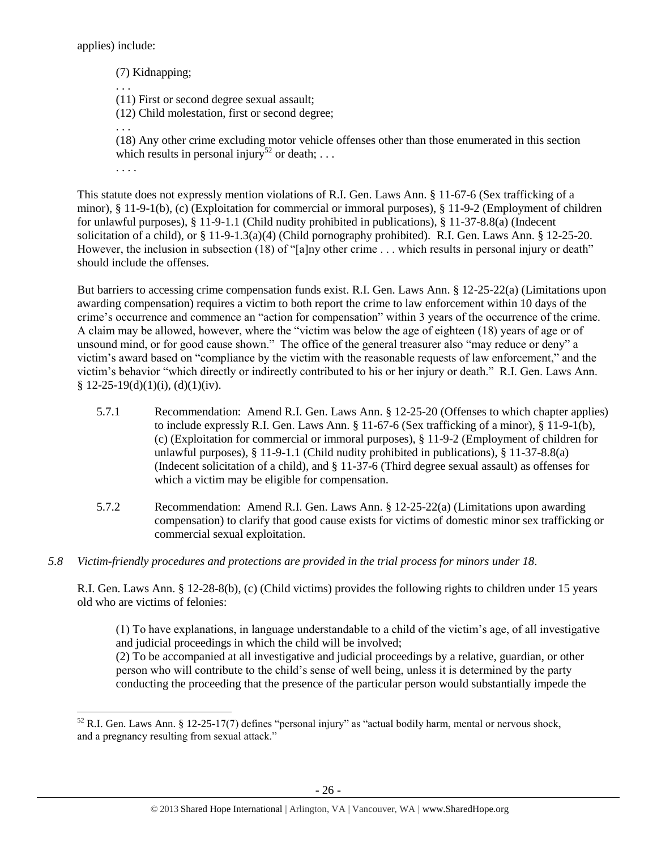applies) include:

 $\overline{\phantom{a}}$ 

(7) Kidnapping; . . . (11) First or second degree sexual assault; (12) Child molestation, first or second degree; . . . (18) Any other crime excluding motor vehicle offenses other than those enumerated in this section which results in personal injury<sup>52</sup> or death; ... . . . . This statute does not expressly mention violations of R.I. Gen. Laws Ann. § 11-67-6 (Sex trafficking of a

minor), § 11-9-1(b), (c) (Exploitation for commercial or immoral purposes), § 11-9-2 (Employment of children for unlawful purposes), § 11-9-1.1 (Child nudity prohibited in publications), § 11-37-8.8(a) (Indecent solicitation of a child), or § 11-9-1.3(a)(4) (Child pornography prohibited). R.I. Gen. Laws Ann. § 12-25-20. However, the inclusion in subsection (18) of "[a]ny other crime . . . which results in personal injury or death" should include the offenses.

But barriers to accessing crime compensation funds exist. R.I. Gen. Laws Ann. § 12-25-22(a) (Limitations upon awarding compensation) requires a victim to both report the crime to law enforcement within 10 days of the crime's occurrence and commence an "action for compensation" within 3 years of the occurrence of the crime. A claim may be allowed, however, where the "victim was below the age of eighteen (18) years of age or of unsound mind, or for good cause shown." The office of the general treasurer also "may reduce or deny" a victim's award based on "compliance by the victim with the reasonable requests of law enforcement," and the victim's behavior "which directly or indirectly contributed to his or her injury or death." R.I. Gen. Laws Ann.  $$ 12-25-19(d)(1)(i), (d)(1)(iv).$ 

- 5.7.1 Recommendation: Amend R.I. Gen. Laws Ann. § 12-25-20 (Offenses to which chapter applies) to include expressly R.I. Gen. Laws Ann. § 11-67-6 (Sex trafficking of a minor), § 11-9-1(b), (c) (Exploitation for commercial or immoral purposes), § 11-9-2 (Employment of children for unlawful purposes), § 11-9-1.1 (Child nudity prohibited in publications), § 11-37-8.8(a) (Indecent solicitation of a child), and § 11-37-6 (Third degree sexual assault) as offenses for which a victim may be eligible for compensation.
- 5.7.2 Recommendation: Amend R.I. Gen. Laws Ann. § 12-25-22(a) (Limitations upon awarding compensation) to clarify that good cause exists for victims of domestic minor sex trafficking or commercial sexual exploitation.
- *5.8 Victim-friendly procedures and protections are provided in the trial process for minors under 18.*

R.I. Gen. Laws Ann. § 12-28-8(b), (c) (Child victims) provides the following rights to children under 15 years old who are victims of felonies:

(1) To have explanations, in language understandable to a child of the victim's age, of all investigative and judicial proceedings in which the child will be involved;

(2) To be accompanied at all investigative and judicial proceedings by a relative, guardian, or other person who will contribute to the child's sense of well being, unless it is determined by the party conducting the proceeding that the presence of the particular person would substantially impede the

<sup>52</sup> R.I. Gen. Laws Ann. § 12-25-17(7) defines "personal injury" as "actual bodily harm, mental or nervous shock, and a pregnancy resulting from sexual attack."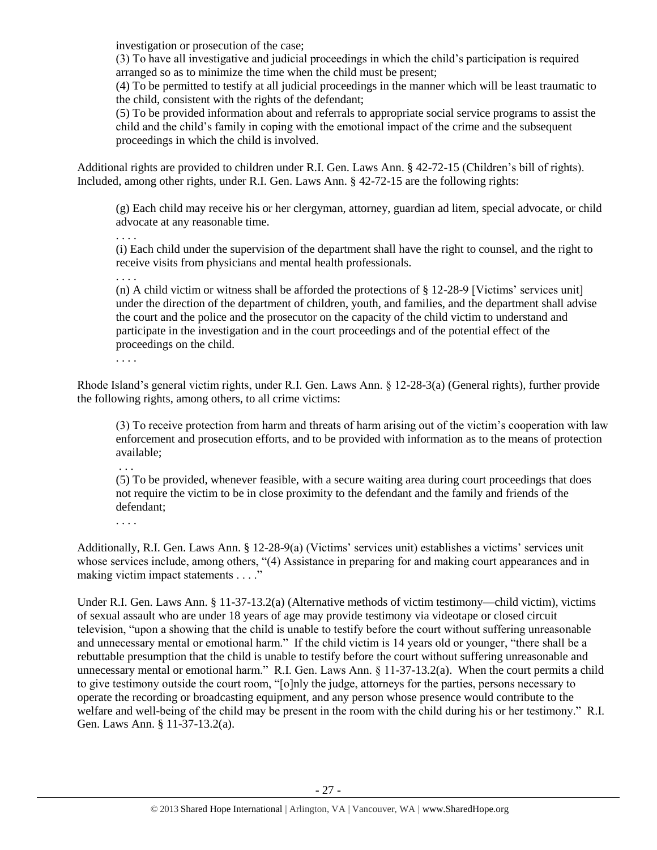investigation or prosecution of the case;

(3) To have all investigative and judicial proceedings in which the child's participation is required arranged so as to minimize the time when the child must be present;

(4) To be permitted to testify at all judicial proceedings in the manner which will be least traumatic to the child, consistent with the rights of the defendant;

(5) To be provided information about and referrals to appropriate social service programs to assist the child and the child's family in coping with the emotional impact of the crime and the subsequent proceedings in which the child is involved.

Additional rights are provided to children under R.I. Gen. Laws Ann. § 42-72-15 (Children's bill of rights). Included, among other rights, under R.I. Gen. Laws Ann. § 42-72-15 are the following rights:

(g) Each child may receive his or her clergyman, attorney, guardian ad litem, special advocate, or child advocate at any reasonable time.

(i) Each child under the supervision of the department shall have the right to counsel, and the right to receive visits from physicians and mental health professionals.

. . . .

. . . .

(n) A child victim or witness shall be afforded the protections of § 12-28-9 [Victims' services unit] under the direction of the department of children, youth, and families, and the department shall advise the court and the police and the prosecutor on the capacity of the child victim to understand and participate in the investigation and in the court proceedings and of the potential effect of the proceedings on the child.

. . . .

Rhode Island's general victim rights, under R.I. Gen. Laws Ann. § 12-28-3(a) (General rights), further provide the following rights, among others, to all crime victims:

(3) To receive protection from harm and threats of harm arising out of the victim's cooperation with law enforcement and prosecution efforts, and to be provided with information as to the means of protection available;

. . .

(5) To be provided, whenever feasible, with a secure waiting area during court proceedings that does not require the victim to be in close proximity to the defendant and the family and friends of the defendant;

. . . .

Additionally, R.I. Gen. Laws Ann. § 12-28-9(a) (Victims' services unit) establishes a victims' services unit whose services include, among others, "(4) Assistance in preparing for and making court appearances and in making victim impact statements . . . ."

Under R.I. Gen. Laws Ann. § 11-37-13.2(a) (Alternative methods of victim testimony—child victim), victims of sexual assault who are under 18 years of age may provide testimony via videotape or closed circuit television, "upon a showing that the child is unable to testify before the court without suffering unreasonable and unnecessary mental or emotional harm." If the child victim is 14 years old or younger, "there shall be a rebuttable presumption that the child is unable to testify before the court without suffering unreasonable and unnecessary mental or emotional harm." R.I. Gen. Laws Ann. § 11-37-13.2(a). When the court permits a child to give testimony outside the court room, "[o]nly the judge, attorneys for the parties, persons necessary to operate the recording or broadcasting equipment, and any person whose presence would contribute to the welfare and well-being of the child may be present in the room with the child during his or her testimony." R.I. Gen. Laws Ann. § 11-37-13.2(a).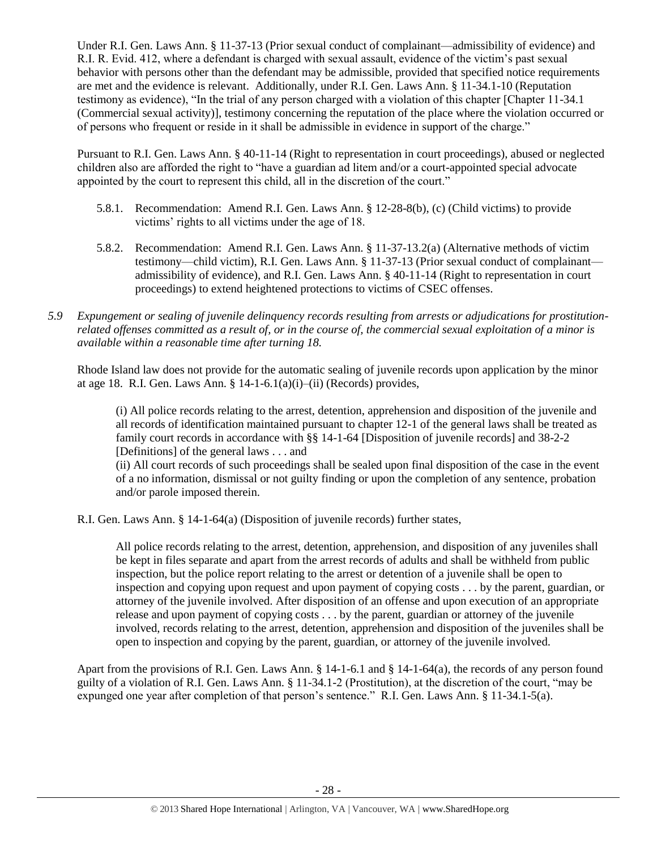Under R.I. Gen. Laws Ann. § 11-37-13 (Prior sexual conduct of complainant—admissibility of evidence) and R.I. R. Evid. 412, where a defendant is charged with sexual assault, evidence of the victim's past sexual behavior with persons other than the defendant may be admissible, provided that specified notice requirements are met and the evidence is relevant. Additionally, under R.I. Gen. Laws Ann. § 11-34.1-10 (Reputation testimony as evidence), "In the trial of any person charged with a violation of this chapter [Chapter 11-34.1 (Commercial sexual activity)], testimony concerning the reputation of the place where the violation occurred or of persons who frequent or reside in it shall be admissible in evidence in support of the charge."

Pursuant to R.I. Gen. Laws Ann. § 40-11-14 (Right to representation in court proceedings), abused or neglected children also are afforded the right to "have a guardian ad litem and/or a court-appointed special advocate appointed by the court to represent this child, all in the discretion of the court."

- 5.8.1. Recommendation: Amend R.I. Gen. Laws Ann. § 12-28-8(b), (c) (Child victims) to provide victims' rights to all victims under the age of 18.
- 5.8.2. Recommendation: Amend R.I. Gen. Laws Ann. § 11-37-13.2(a) (Alternative methods of victim testimony—child victim), R.I. Gen. Laws Ann. § 11-37-13 (Prior sexual conduct of complainant admissibility of evidence), and R.I. Gen. Laws Ann. § 40-11-14 (Right to representation in court proceedings) to extend heightened protections to victims of CSEC offenses.
- *5.9 Expungement or sealing of juvenile delinquency records resulting from arrests or adjudications for prostitutionrelated offenses committed as a result of, or in the course of, the commercial sexual exploitation of a minor is available within a reasonable time after turning 18.*

Rhode Island law does not provide for the automatic sealing of juvenile records upon application by the minor at age 18. R.I. Gen. Laws Ann. § 14-1-6.1(a)(i)–(ii) (Records) provides,

(i) All police records relating to the arrest, detention, apprehension and disposition of the juvenile and all records of identification maintained pursuant to chapter 12-1 of the general laws shall be treated as family court records in accordance with §§ 14-1-64 [Disposition of juvenile records] and 38-2-2 [Definitions] of the general laws . . . and

(ii) All court records of such proceedings shall be sealed upon final disposition of the case in the event of a no information, dismissal or not guilty finding or upon the completion of any sentence, probation and/or parole imposed therein.

R.I. Gen. Laws Ann. § 14-1-64(a) (Disposition of juvenile records) further states,

All police records relating to the arrest, detention, apprehension, and disposition of any juveniles shall be kept in files separate and apart from the arrest records of adults and shall be withheld from public inspection, but the police report relating to the arrest or detention of a juvenile shall be open to inspection and copying upon request and upon payment of copying costs . . . by the parent, guardian, or attorney of the juvenile involved. After disposition of an offense and upon execution of an appropriate release and upon payment of copying costs . . . by the parent, guardian or attorney of the juvenile involved, records relating to the arrest, detention, apprehension and disposition of the juveniles shall be open to inspection and copying by the parent, guardian, or attorney of the juvenile involved.

Apart from the provisions of R.I. Gen. Laws Ann. § 14-1-6.1 and § 14-1-64(a), the records of any person found guilty of a violation of R.I. Gen. Laws Ann. § 11-34.1-2 (Prostitution), at the discretion of the court, "may be expunged one year after completion of that person's sentence." R.I. Gen. Laws Ann. § 11-34.1-5(a).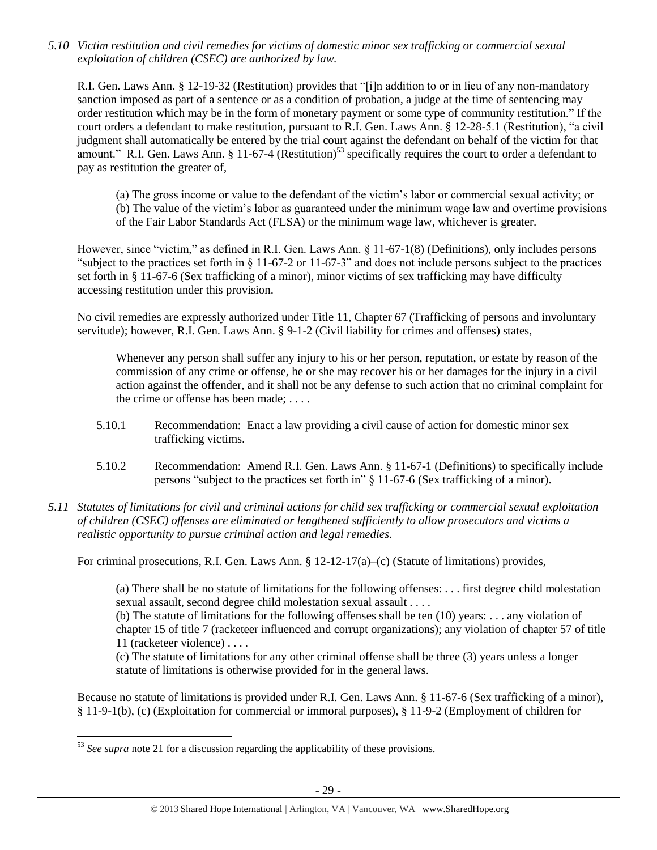*5.10 Victim restitution and civil remedies for victims of domestic minor sex trafficking or commercial sexual exploitation of children (CSEC) are authorized by law.* 

R.I. Gen. Laws Ann. § 12-19-32 (Restitution) provides that "[i]n addition to or in lieu of any non-mandatory sanction imposed as part of a sentence or as a condition of probation, a judge at the time of sentencing may order restitution which may be in the form of monetary payment or some type of community restitution." If the court orders a defendant to make restitution, pursuant to R.I. Gen. Laws Ann. § 12-28-5.1 (Restitution), "a civil judgment shall automatically be entered by the trial court against the defendant on behalf of the victim for that amount." R.I. Gen. Laws Ann.  $\S 11-67-4$  (Restitution)<sup>53</sup> specifically requires the court to order a defendant to pay as restitution the greater of,

(a) The gross income or value to the defendant of the victim's labor or commercial sexual activity; or (b) The value of the victim's labor as guaranteed under the minimum wage law and overtime provisions of the Fair Labor Standards Act (FLSA) or the minimum wage law, whichever is greater.

However, since "victim," as defined in R.I. Gen. Laws Ann. § 11-67-1(8) (Definitions), only includes persons "subject to the practices set forth in § 11-67-2 or 11-67-3" and does not include persons subject to the practices set forth in § 11-67-6 (Sex trafficking of a minor), minor victims of sex trafficking may have difficulty accessing restitution under this provision.

No civil remedies are expressly authorized under Title 11, Chapter 67 (Trafficking of persons and involuntary servitude); however, R.I. Gen. Laws Ann. § 9-1-2 (Civil liability for crimes and offenses) states,

Whenever any person shall suffer any injury to his or her person, reputation, or estate by reason of the commission of any crime or offense, he or she may recover his or her damages for the injury in a civil action against the offender, and it shall not be any defense to such action that no criminal complaint for the crime or offense has been made; . . . .

- 5.10.1 Recommendation: Enact a law providing a civil cause of action for domestic minor sex trafficking victims.
- 5.10.2 Recommendation: Amend R.I. Gen. Laws Ann. § 11-67-1 (Definitions) to specifically include persons "subject to the practices set forth in" § 11-67-6 (Sex trafficking of a minor).
- *5.11 Statutes of limitations for civil and criminal actions for child sex trafficking or commercial sexual exploitation of children (CSEC) offenses are eliminated or lengthened sufficiently to allow prosecutors and victims a realistic opportunity to pursue criminal action and legal remedies.*

For criminal prosecutions, R.I. Gen. Laws Ann. § 12-12-17(a)–(c) (Statute of limitations) provides,

(a) There shall be no statute of limitations for the following offenses: . . . first degree child molestation sexual assault, second degree child molestation sexual assault . . . .

(b) The statute of limitations for the following offenses shall be ten (10) years: . . . any violation of chapter 15 of title 7 (racketeer influenced and corrupt organizations); any violation of chapter 57 of title 11 (racketeer violence) . . . .

(c) The statute of limitations for any other criminal offense shall be three (3) years unless a longer statute of limitations is otherwise provided for in the general laws.

Because no statute of limitations is provided under R.I. Gen. Laws Ann. § 11-67-6 (Sex trafficking of a minor), § 11-9-1(b), (c) (Exploitation for commercial or immoral purposes), § 11-9-2 (Employment of children for

 $\overline{\phantom{a}}$ <sup>53</sup> See supra note [21](#page-7-0) for a discussion regarding the applicability of these provisions.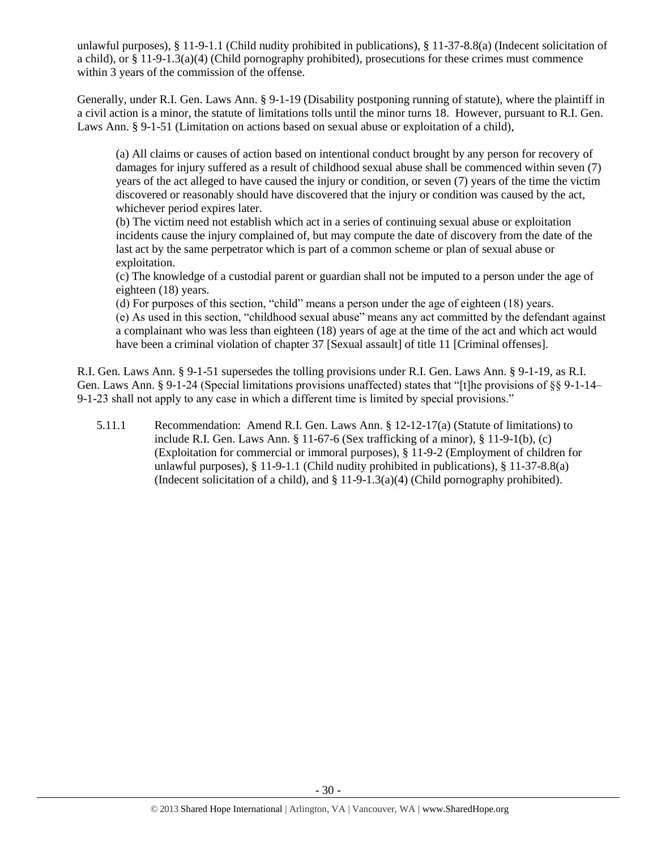unlawful purposes), § 11-9-1.1 (Child nudity prohibited in publications), § 11-37-8.8(a) (Indecent solicitation of a child), or  $\S 11-9-1.3(a)(4)$  (Child pornography prohibited), prosecutions for these crimes must commence within 3 years of the commission of the offense.

Generally, under R.I. Gen. Laws Ann. § 9-1-19 (Disability postponing running of statute), where the plaintiff in a civil action is a minor, the statute of limitations tolls until the minor turns 18. However, pursuant to R.I. Gen. Laws Ann. § 9-1-51 (Limitation on actions based on sexual abuse or exploitation of a child),

(a) All claims or causes of action based on intentional conduct brought by any person for recovery of damages for injury suffered as a result of childhood sexual abuse shall be commenced within seven (7) years of the act alleged to have caused the injury or condition, or seven (7) years of the time the victim discovered or reasonably should have discovered that the injury or condition was caused by the act, whichever period expires later.

(b) The victim need not establish which act in a series of continuing sexual abuse or exploitation incidents cause the injury complained of, but may compute the date of discovery from the date of the last act by the same perpetrator which is part of a common scheme or plan of sexual abuse or exploitation.

(c) The knowledge of a custodial parent or guardian shall not be imputed to a person under the age of eighteen (18) years.

(d) For purposes of this section, "child" means a person under the age of eighteen (18) years. (e) As used in this section, "childhood sexual abuse" means any act committed by the defendant against a complainant who was less than eighteen (18) years of age at the time of the act and which act would have been a criminal violation of chapter 37 [Sexual assault] of title 11 [Criminal offenses].

R.I. Gen. Laws Ann. § 9-1-51 supersedes the tolling provisions under R.I. Gen. Laws Ann. § 9-1-19, as R.I. Gen. Laws Ann. § 9-1-24 (Special limitations provisions unaffected) states that "[t]he provisions of §§ 9-1-14– 9-1-23 shall not apply to any case in which a different time is limited by special provisions."

5.11.1 Recommendation: Amend R.I. Gen. Laws Ann. § 12-12-17(a) (Statute of limitations) to include R.I. Gen. Laws Ann. § 11-67-6 (Sex trafficking of a minor), § 11-9-1(b), (c) (Exploitation for commercial or immoral purposes), § 11-9-2 (Employment of children for unlawful purposes), § 11-9-1.1 (Child nudity prohibited in publications), § 11-37-8.8(a) (Indecent solicitation of a child), and  $\S 11-9-1.3(a)(4)$  (Child pornography prohibited).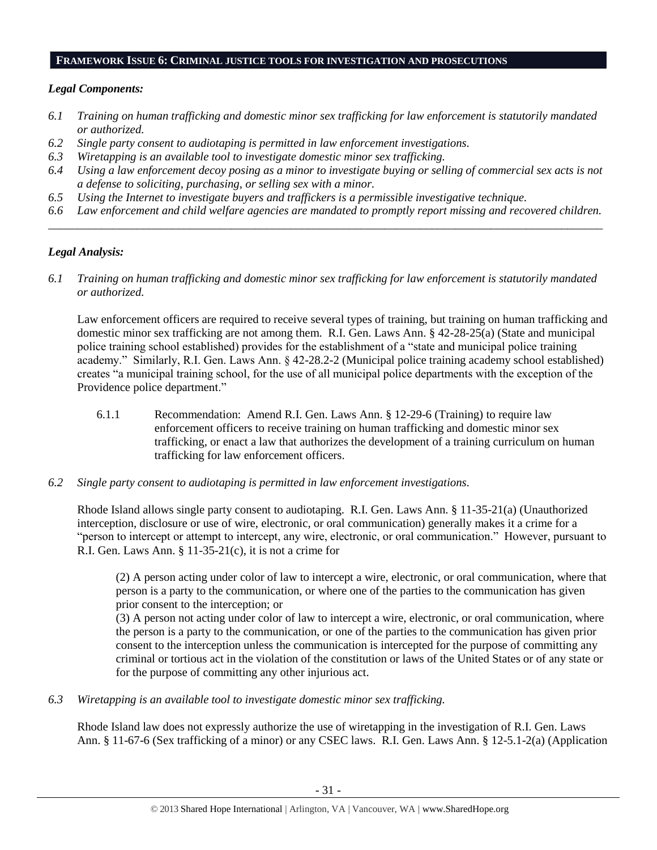## **FRAMEWORK ISSUE 6: CRIMINAL JUSTICE TOOLS FOR INVESTIGATION AND PROSECUTIONS**

#### *Legal Components:*

- *6.1 Training on human trafficking and domestic minor sex trafficking for law enforcement is statutorily mandated or authorized.*
- *6.2 Single party consent to audiotaping is permitted in law enforcement investigations.*
- *6.3 Wiretapping is an available tool to investigate domestic minor sex trafficking.*
- *6.4 Using a law enforcement decoy posing as a minor to investigate buying or selling of commercial sex acts is not a defense to soliciting, purchasing, or selling sex with a minor.*
- *6.5 Using the Internet to investigate buyers and traffickers is a permissible investigative technique.*
- *6.6 Law enforcement and child welfare agencies are mandated to promptly report missing and recovered children. \_\_\_\_\_\_\_\_\_\_\_\_\_\_\_\_\_\_\_\_\_\_\_\_\_\_\_\_\_\_\_\_\_\_\_\_\_\_\_\_\_\_\_\_\_\_\_\_\_\_\_\_\_\_\_\_\_\_\_\_\_\_\_\_\_\_\_\_\_\_\_\_\_\_\_\_\_\_\_\_\_\_\_\_\_\_\_\_\_\_\_\_\_\_*

## *Legal Analysis:*

*6.1 Training on human trafficking and domestic minor sex trafficking for law enforcement is statutorily mandated or authorized.*

Law enforcement officers are required to receive several types of training, but training on human trafficking and domestic minor sex trafficking are not among them. R.I. Gen. Laws Ann. § 42-28-25(a) (State and municipal police training school established) provides for the establishment of a "state and municipal police training academy." Similarly, R.I. Gen. Laws Ann. § 42-28.2-2 (Municipal police training academy school established) creates "a municipal training school, for the use of all municipal police departments with the exception of the Providence police department."

- 6.1.1 Recommendation: Amend R.I. Gen. Laws Ann. § 12-29-6 (Training) to require law enforcement officers to receive training on human trafficking and domestic minor sex trafficking, or enact a law that authorizes the development of a training curriculum on human trafficking for law enforcement officers.
- *6.2 Single party consent to audiotaping is permitted in law enforcement investigations.*

Rhode Island allows single party consent to audiotaping. R.I. Gen. Laws Ann. § 11-35-21(a) (Unauthorized interception, disclosure or use of wire, electronic, or oral communication) generally makes it a crime for a "person to intercept or attempt to intercept, any wire, electronic, or oral communication." However, pursuant to R.I. Gen. Laws Ann.  $\S 11-35-21(c)$ , it is not a crime for

(2) A person acting under color of law to intercept a wire, electronic, or oral communication, where that person is a party to the communication, or where one of the parties to the communication has given prior consent to the interception; or

(3) A person not acting under color of law to intercept a wire, electronic, or oral communication, where the person is a party to the communication, or one of the parties to the communication has given prior consent to the interception unless the communication is intercepted for the purpose of committing any criminal or tortious act in the violation of the constitution or laws of the United States or of any state or for the purpose of committing any other injurious act.

*6.3 Wiretapping is an available tool to investigate domestic minor sex trafficking.* 

Rhode Island law does not expressly authorize the use of wiretapping in the investigation of R.I. Gen. Laws Ann. § 11-67-6 (Sex trafficking of a minor) or any CSEC laws. R.I. Gen. Laws Ann. § 12-5.1-2(a) (Application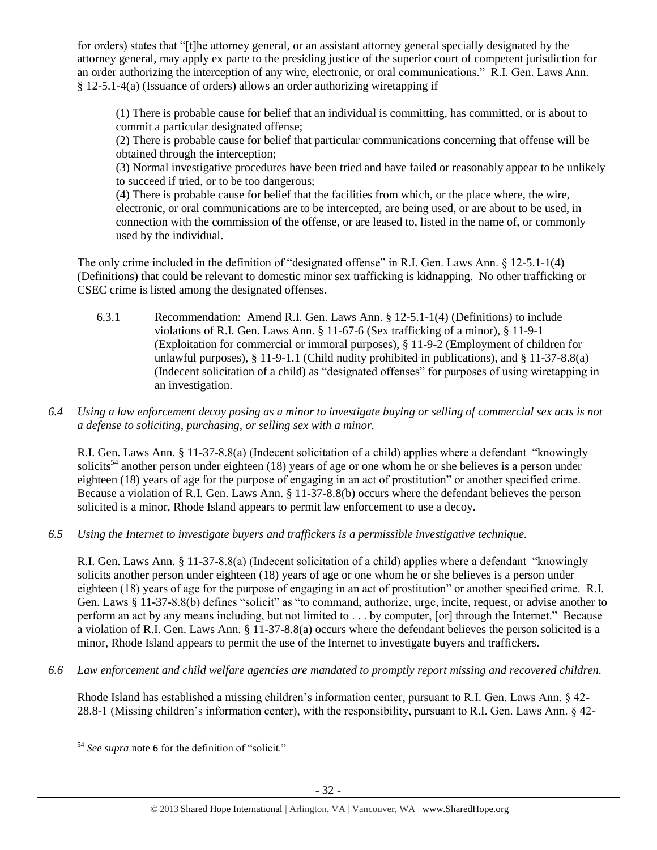for orders) states that "[t]he attorney general, or an assistant attorney general specially designated by the attorney general, may apply ex parte to the presiding justice of the superior court of competent jurisdiction for an order authorizing the interception of any wire, electronic, or oral communications." R.I. Gen. Laws Ann. § 12-5.1-4(a) (Issuance of orders) allows an order authorizing wiretapping if

(1) There is probable cause for belief that an individual is committing, has committed, or is about to commit a particular designated offense;

(2) There is probable cause for belief that particular communications concerning that offense will be obtained through the interception;

(3) Normal investigative procedures have been tried and have failed or reasonably appear to be unlikely to succeed if tried, or to be too dangerous;

(4) There is probable cause for belief that the facilities from which, or the place where, the wire, electronic, or oral communications are to be intercepted, are being used, or are about to be used, in connection with the commission of the offense, or are leased to, listed in the name of, or commonly used by the individual.

The only crime included in the definition of "designated offense" in R.I. Gen. Laws Ann. § 12-5.1-1(4) (Definitions) that could be relevant to domestic minor sex trafficking is kidnapping. No other trafficking or CSEC crime is listed among the designated offenses.

6.3.1 Recommendation: Amend R.I. Gen. Laws Ann. § 12-5.1-1(4) (Definitions) to include violations of R.I. Gen. Laws Ann. § 11-67-6 (Sex trafficking of a minor), § 11-9-1 (Exploitation for commercial or immoral purposes), § 11-9-2 (Employment of children for unlawful purposes), § 11-9-1.1 (Child nudity prohibited in publications), and § 11-37-8.8(a) (Indecent solicitation of a child) as "designated offenses" for purposes of using wiretapping in an investigation.

# *6.4 Using a law enforcement decoy posing as a minor to investigate buying or selling of commercial sex acts is not a defense to soliciting, purchasing, or selling sex with a minor.*

R.I. Gen. Laws Ann. § 11-37-8.8(a) (Indecent solicitation of a child) applies where a defendant "knowingly solicits<sup>54</sup> another person under eighteen (18) years of age or one whom he or she believes is a person under eighteen (18) years of age for the purpose of engaging in an act of prostitution" or another specified crime. Because a violation of R.I. Gen. Laws Ann. § 11-37-8.8(b) occurs where the defendant believes the person solicited is a minor, Rhode Island appears to permit law enforcement to use a decoy.

*6.5 Using the Internet to investigate buyers and traffickers is a permissible investigative technique.*

R.I. Gen. Laws Ann. § 11-37-8.8(a) (Indecent solicitation of a child) applies where a defendant "knowingly solicits another person under eighteen (18) years of age or one whom he or she believes is a person under eighteen (18) years of age for the purpose of engaging in an act of prostitution" or another specified crime. R.I. Gen. Laws § 11-37-8.8(b) defines "solicit" as "to command, authorize, urge, incite, request, or advise another to perform an act by any means including, but not limited to . . . by computer, [or] through the Internet." Because a violation of R.I. Gen. Laws Ann. § 11-37-8.8(a) occurs where the defendant believes the person solicited is a minor, Rhode Island appears to permit the use of the Internet to investigate buyers and traffickers.

*6.6 Law enforcement and child welfare agencies are mandated to promptly report missing and recovered children.*

Rhode Island has established a missing children's information center, pursuant to R.I. Gen. Laws Ann. § 42- 28.8-1 (Missing children's information center), with the responsibility, pursuant to R.I. Gen. Laws Ann. § 42-

 $\overline{a}$ <sup>54</sup> *See supra* note [6](#page-2-1) for the definition of "solicit."